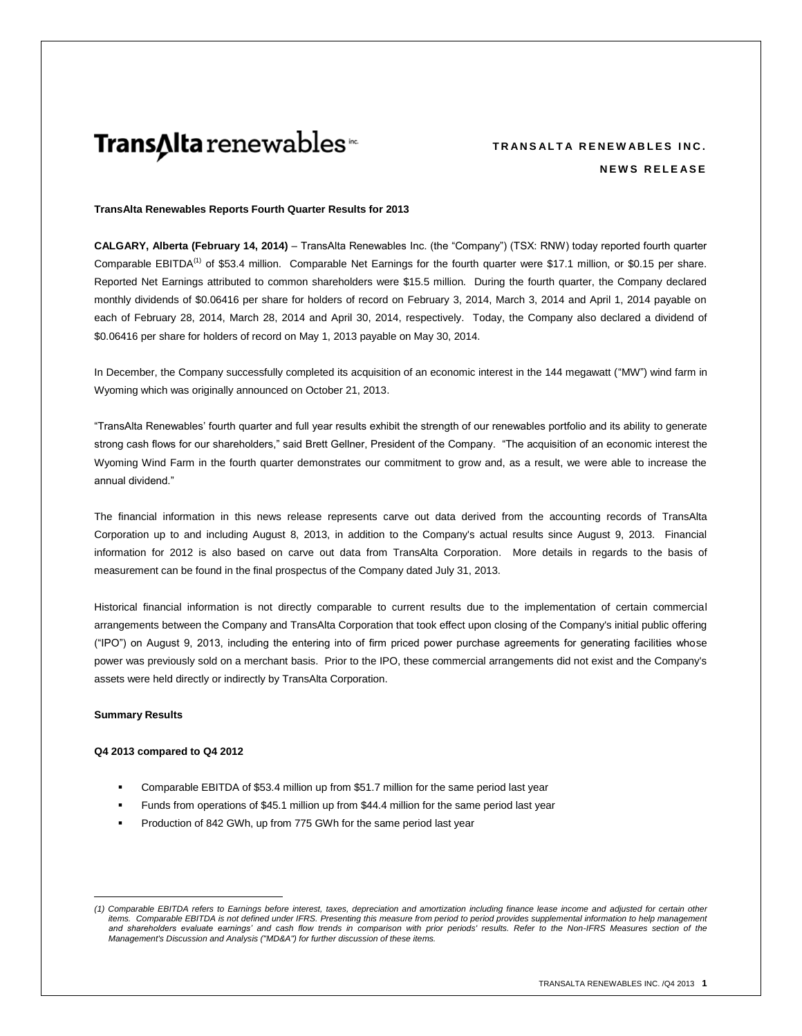# Trans∆Ita renewables<sup>®</sup>

# **TRANSALTA RENEWABLES INC. N E W S R E L E A S E**

#### **TransAlta Renewables Reports Fourth Quarter Results for 2013**

**CALGARY, Alberta (February 14, 2014)** – TransAlta Renewables Inc. (the "Company") (TSX: RNW) today reported fourth quarter Comparable EBITDA<sup>(1)</sup> of \$53.4 million. Comparable Net Earnings for the fourth quarter were \$17.1 million, or \$0.15 per share. Reported Net Earnings attributed to common shareholders were \$15.5 million. During the fourth quarter, the Company declared monthly dividends of \$0.06416 per share for holders of record on February 3, 2014, March 3, 2014 and April 1, 2014 payable on each of February 28, 2014, March 28, 2014 and April 30, 2014, respectively. Today, the Company also declared a dividend of \$0.06416 per share for holders of record on May 1, 2013 payable on May 30, 2014.

In December, the Company successfully completed its acquisition of an economic interest in the 144 megawatt ("MW") wind farm in Wyoming which was originally announced on October 21, 2013.

"TransAlta Renewables' fourth quarter and full year results exhibit the strength of our renewables portfolio and its ability to generate strong cash flows for our shareholders," said Brett Gellner, President of the Company. "The acquisition of an economic interest the Wyoming Wind Farm in the fourth quarter demonstrates our commitment to grow and, as a result, we were able to increase the annual dividend."

The financial information in this news release represents carve out data derived from the accounting records of TransAlta Corporation up to and including August 8, 2013, in addition to the Company's actual results since August 9, 2013. Financial information for 2012 is also based on carve out data from TransAlta Corporation. More details in regards to the basis of measurement can be found in the final prospectus of the Company dated July 31, 2013.

Historical financial information is not directly comparable to current results due to the implementation of certain commercial arrangements between the Company and TransAlta Corporation that took effect upon closing of the Company's initial public offering ("IPO") on August 9, 2013, including the entering into of firm priced power purchase agreements for generating facilities whose power was previously sold on a merchant basis. Prior to the IPO, these commercial arrangements did not exist and the Company's assets were held directly or indirectly by TransAlta Corporation.

#### **Summary Results**

 $\overline{a}$ 

#### **Q4 2013 compared to Q4 2012**

- Comparable EBITDA of \$53.4 million up from \$51.7 million for the same period last year
- Funds from operations of \$45.1 million up from \$44.4 million for the same period last year
- Production of 842 GWh, up from 775 GWh for the same period last year

*<sup>(1)</sup> Comparable EBITDA refers to Earnings before interest, taxes, depreciation and amortization including finance lease income and adjusted for certain other items. Comparable EBITDA is not defined under IFRS. Presenting this measure from period to period provides supplemental information to help management*  and shareholders evaluate earnings' and cash flow trends in comparison with prior periods' results. Refer to the Non-IFRS Measures section of the *Management's Discussion and Analysis ("MD&A") for further discussion of these items.*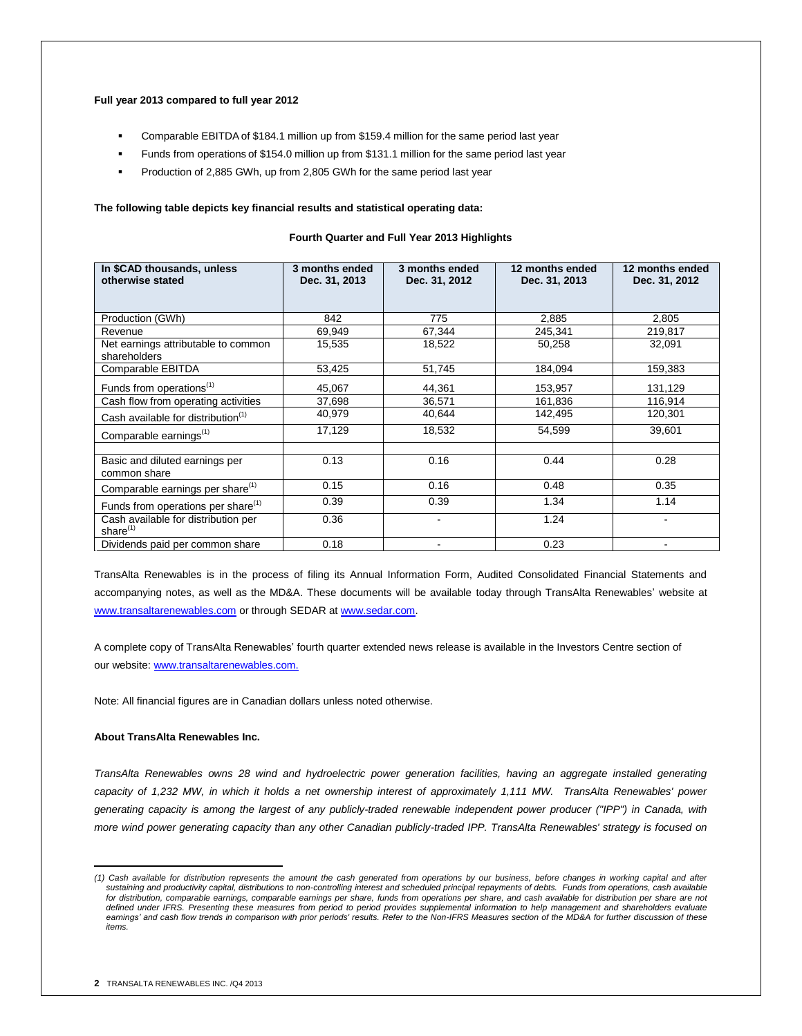#### **Full year 2013 compared to full year 2012**

- Comparable EBITDA of \$184.1 million up from \$159.4 million for the same period last year
- Funds from operations of \$154.0 million up from \$131.1 million for the same period last year
- Production of 2,885 GWh, up from 2,805 GWh for the same period last year

#### **The following table depicts key financial results and statistical operating data:**

#### **Fourth Quarter and Full Year 2013 Highlights**

| In \$CAD thousands, unless<br>otherwise stated      | 3 months ended<br>Dec. 31, 2013 | 3 months ended<br>Dec. 31, 2012 | 12 months ended<br>Dec. 31, 2013 | 12 months ended<br>Dec. 31, 2012 |
|-----------------------------------------------------|---------------------------------|---------------------------------|----------------------------------|----------------------------------|
|                                                     |                                 |                                 |                                  |                                  |
| Production (GWh)                                    | 842                             | 775                             | 2,885                            | 2,805                            |
| Revenue                                             | 69,949                          | 67,344                          | 245,341                          | 219,817                          |
| Net earnings attributable to common<br>shareholders | 15,535                          | 18,522                          | 50,258                           | 32,091                           |
| Comparable EBITDA                                   | 53,425                          | 51,745                          | 184.094                          | 159,383                          |
| Funds from operations <sup>(1)</sup>                | 45,067                          | 44,361                          | 153,957                          | 131,129                          |
| Cash flow from operating activities                 | 37,698                          | 36,571                          | 161,836                          | 116,914                          |
| Cash available for distribution <sup>(1)</sup>      | 40,979                          | 40,644                          | 142,495                          | 120,301                          |
| Comparable earnings <sup>(1)</sup>                  | 17,129                          | 18,532                          | 54,599                           | 39,601                           |
|                                                     |                                 |                                 |                                  |                                  |
| Basic and diluted earnings per<br>common share      | 0.13                            | 0.16                            | 0.44                             | 0.28                             |
| Comparable earnings per share <sup>(1)</sup>        | 0.15                            | 0.16                            | 0.48                             | 0.35                             |
| Funds from operations per share <sup>(1)</sup>      | 0.39                            | 0.39                            | 1.34                             | 1.14                             |
| Cash available for distribution per<br>share $(1)$  | 0.36                            | ۰                               | 1.24                             |                                  |
| Dividends paid per common share                     | 0.18                            | ۰                               | 0.23                             | ٠                                |

TransAlta Renewables is in the process of filing its Annual Information Form, Audited Consolidated Financial Statements and accompanying notes, as well as the MD&A. These documents will be available today through TransAlta Renewables' website at [www.transaltarenewables.com](http://www.transaltarenewables.com/) or through SEDAR a[t www.sedar.com.](http://www.sedar.com/)

A complete copy of TransAlta Renewables' fourth quarter extended news release is available in the Investors Centre section of our website[: www.transaltarenewables.com.](http://www.transaltarenewables.com./)

Note: All financial figures are in Canadian dollars unless noted otherwise.

# **About TransAlta Renewables Inc.**

*TransAlta Renewables owns 28 wind and hydroelectric power generation facilities, having an aggregate installed generating capacity of 1,232 MW, in which it holds a net ownership interest of approximately 1,111 MW. TransAlta Renewables' power generating capacity is among the largest of any publicly-traded renewable independent power producer ("IPP") in Canada, with more wind power generating capacity than any other Canadian publicly-traded IPP. TransAlta Renewables' strategy is focused on* 

 $\overline{a}$ 

*<sup>(1)</sup> Cash available for distribution represents the amount the cash generated from operations by our business, before changes in working capital and after sustaining and productivity capital, distributions to non-controlling interest and scheduled principal repayments of debts. Funds from operations, cash available for distribution, comparable earnings, comparable earnings per share, funds from operations per share, and cash available for distribution per share are not*  defined under IFRS. Presenting these measures from period to period provides supplemental information to help management and shareholders evaluate *earnings' and cash flow trends in comparison with prior periods' results. Refer to the Non-IFRS Measures section of the MD&A for further discussion of these items.*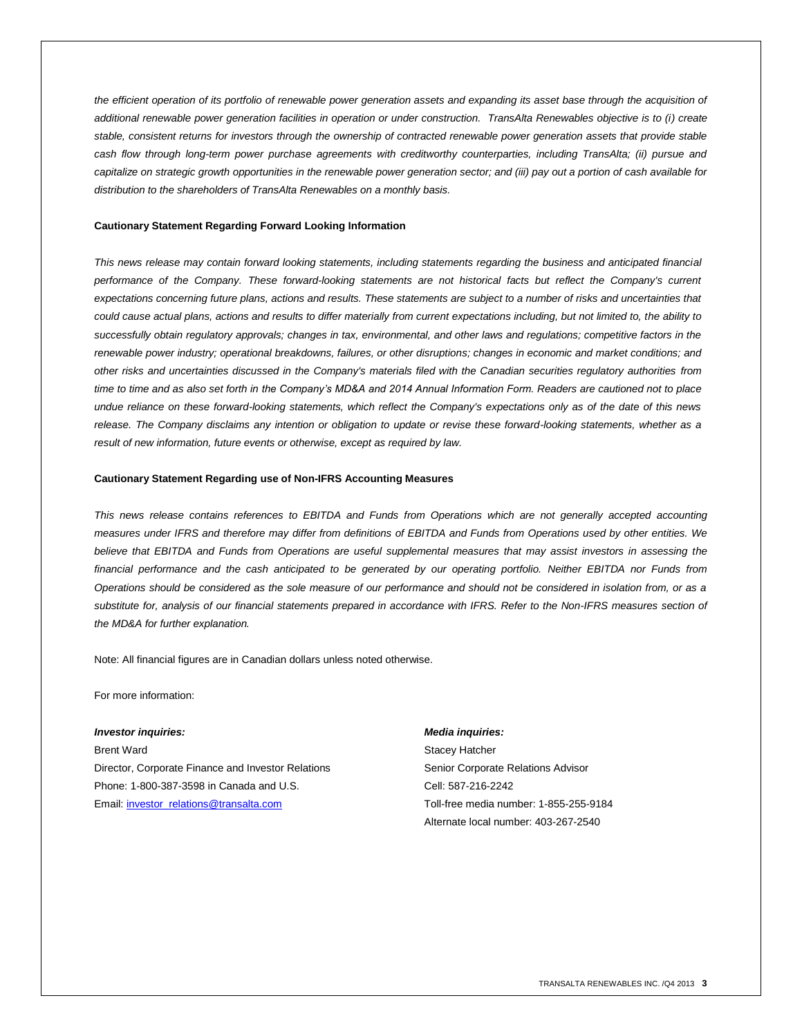*the efficient operation of its portfolio of renewable power generation assets and expanding its asset base through the acquisition of additional renewable power generation facilities in operation or under construction. TransAlta Renewables objective is to (i) create stable, consistent returns for investors through the ownership of contracted renewable power generation assets that provide stable cash flow through long-term power purchase agreements with creditworthy counterparties, including TransAlta; (ii) pursue and capitalize on strategic growth opportunities in the renewable power generation sector; and (iii) pay out a portion of cash available for distribution to the shareholders of TransAlta Renewables on a monthly basis.*

#### **Cautionary Statement Regarding Forward Looking Information**

*This news release may contain forward looking statements, including statements regarding the business and anticipated financial performance of the Company. These forward-looking statements are not historical facts but reflect the Company's current expectations concerning future plans, actions and results. These statements are subject to a number of risks and uncertainties that could cause actual plans, actions and results to differ materially from current expectations including, but not limited to, the ability to successfully obtain regulatory approvals; changes in tax, environmental, and other laws and regulations; competitive factors in the renewable power industry; operational breakdowns, failures, or other disruptions; changes in economic and market conditions; and other risks and uncertainties discussed in the Company's materials filed with the Canadian securities regulatory authorities from time to time and as also set forth in the Company's MD&A and 2014 Annual Information Form. Readers are cautioned not to place undue reliance on these forward-looking statements, which reflect the Company's expectations only as of the date of this news release. The Company disclaims any intention or obligation to update or revise these forward-looking statements, whether as a result of new information, future events or otherwise, except as required by law.* 

#### **Cautionary Statement Regarding use of Non-IFRS Accounting Measures**

*This news release contains references to EBITDA and Funds from Operations which are not generally accepted accounting measures under IFRS and therefore may differ from definitions of EBITDA and Funds from Operations used by other entities. We believe that EBITDA and Funds from Operations are useful supplemental measures that may assist investors in assessing the financial performance and the cash anticipated to be generated by our operating portfolio. Neither EBITDA nor Funds from Operations should be considered as the sole measure of our performance and should not be considered in isolation from, or as a substitute for, analysis of our financial statements prepared in accordance with IFRS. Refer to the Non-IFRS measures section of the MD&A for further explanation.*

Note: All financial figures are in Canadian dollars unless noted otherwise.

For more information:

#### *Investor inquiries: Media inquiries:*

Brent Ward **Stacey Hatcher** Stacey Hatcher Director, Corporate Finance and Investor Relations Senior Corporate Relations Advisor Phone: 1-800-387-3598 in Canada and U.S. Cell: 587-216-2242 Email: *investor\_relations@transalta.com* Toll-free media number: 1-855-255-9184

Alternate local number: 403-267-2540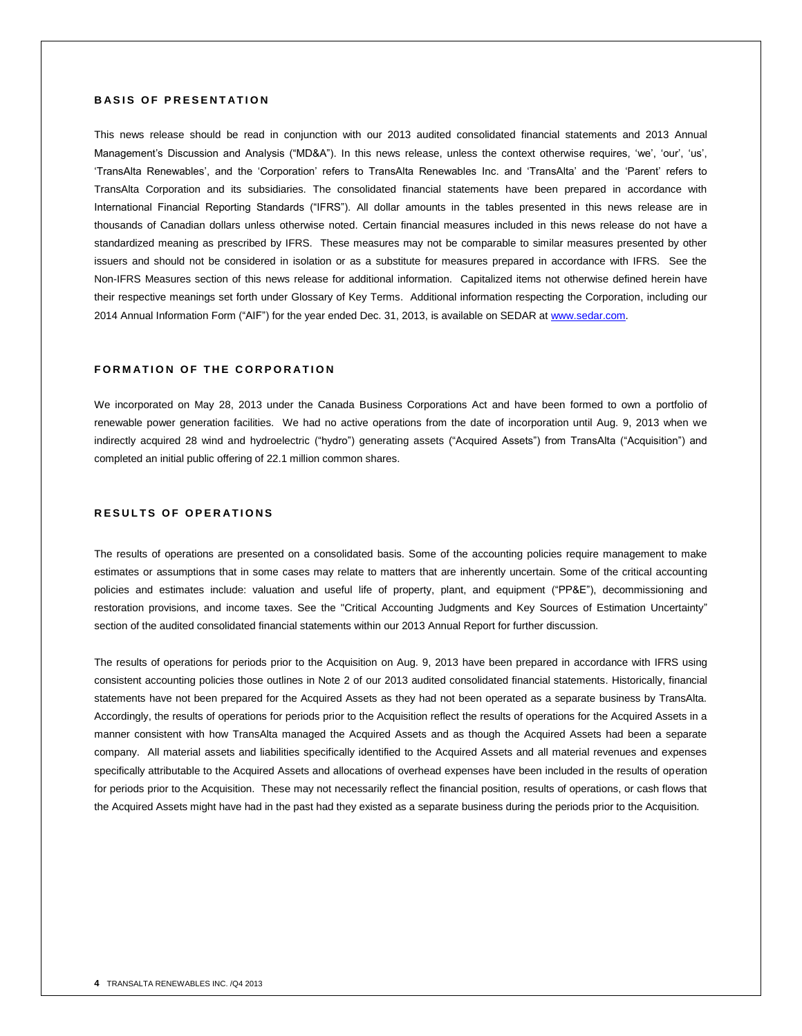# **BASIS OF PRESENTATION**

This news release should be read in conjunction with our 2013 audited consolidated financial statements and 2013 Annual Management's Discussion and Analysis ("MD&A"). In this news release, unless the context otherwise requires, 'we', 'our', 'us', 'TransAlta Renewables', and the 'Corporation' refers to TransAlta Renewables Inc. and 'TransAlta' and the 'Parent' refers to TransAlta Corporation and its subsidiaries. The consolidated financial statements have been prepared in accordance with International Financial Reporting Standards ("IFRS"). All dollar amounts in the tables presented in this news release are in thousands of Canadian dollars unless otherwise noted. Certain financial measures included in this news release do not have a standardized meaning as prescribed by IFRS. These measures may not be comparable to similar measures presented by other issuers and should not be considered in isolation or as a substitute for measures prepared in accordance with IFRS. See the Non-IFRS Measures section of this news release for additional information. Capitalized items not otherwise defined herein have their respective meanings set forth under Glossary of Key Terms. Additional information respecting the Corporation, including our 2014 Annual Information Form ("AIF") for the year ended Dec. 31, 2013, is available on SEDAR at www.sedar.com.

### **FORMATION OF THE CORPORATION**

We incorporated on May 28, 2013 under the Canada Business Corporations Act and have been formed to own a portfolio of renewable power generation facilities. We had no active operations from the date of incorporation until Aug. 9, 2013 when we indirectly acquired 28 wind and hydroelectric ("hydro") generating assets ("Acquired Assets") from TransAlta ("Acquisition") and completed an initial public offering of 22.1 million common shares.

### **RESULTS OF OPERATIONS**

The results of operations are presented on a consolidated basis. Some of the accounting policies require management to make estimates or assumptions that in some cases may relate to matters that are inherently uncertain. Some of the critical accounting policies and estimates include: valuation and useful life of property, plant, and equipment ("PP&E"), decommissioning and restoration provisions, and income taxes. See the "Critical Accounting Judgments and Key Sources of Estimation Uncertainty" section of the audited consolidated financial statements within our 2013 Annual Report for further discussion.

The results of operations for periods prior to the Acquisition on Aug. 9, 2013 have been prepared in accordance with IFRS using consistent accounting policies those outlines in Note 2 of our 2013 audited consolidated financial statements. Historically, financial statements have not been prepared for the Acquired Assets as they had not been operated as a separate business by TransAlta. Accordingly, the results of operations for periods prior to the Acquisition reflect the results of operations for the Acquired Assets in a manner consistent with how TransAlta managed the Acquired Assets and as though the Acquired Assets had been a separate company. All material assets and liabilities specifically identified to the Acquired Assets and all material revenues and expenses specifically attributable to the Acquired Assets and allocations of overhead expenses have been included in the results of operation for periods prior to the Acquisition. These may not necessarily reflect the financial position, results of operations, or cash flows that the Acquired Assets might have had in the past had they existed as a separate business during the periods prior to the Acquisition.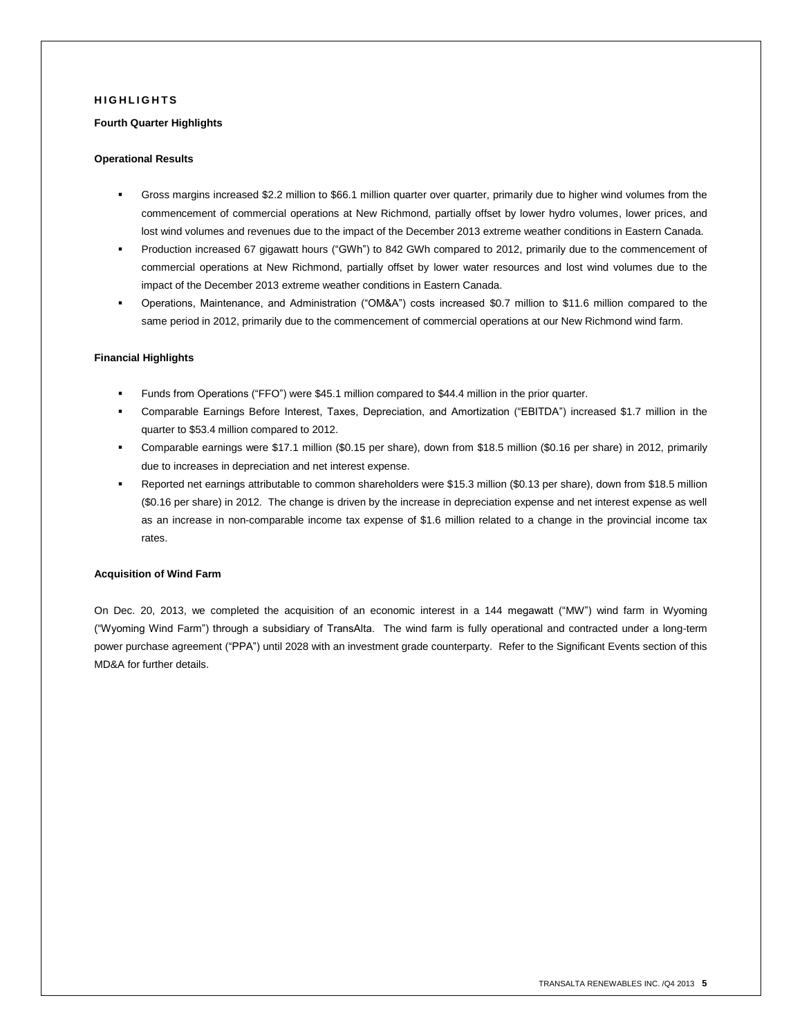### **H I G H L I G H T S**

#### **Fourth Quarter Highlights**

# **Operational Results**

- Gross margins increased \$2.2 million to \$66.1 million quarter over quarter, primarily due to higher wind volumes from the commencement of commercial operations at New Richmond, partially offset by lower hydro volumes, lower prices, and lost wind volumes and revenues due to the impact of the December 2013 extreme weather conditions in Eastern Canada.
- Production increased 67 gigawatt hours ("GWh") to 842 GWh compared to 2012, primarily due to the commencement of commercial operations at New Richmond, partially offset by lower water resources and lost wind volumes due to the impact of the December 2013 extreme weather conditions in Eastern Canada.
- Operations, Maintenance, and Administration ("OM&A") costs increased \$0.7 million to \$11.6 million compared to the same period in 2012, primarily due to the commencement of commercial operations at our New Richmond wind farm.

#### **Financial Highlights**

- Funds from Operations ("FFO") were \$45.1 million compared to \$44.4 million in the prior quarter.
- Comparable Earnings Before Interest, Taxes, Depreciation, and Amortization ("EBITDA") increased \$1.7 million in the quarter to \$53.4 million compared to 2012.
- Comparable earnings were \$17.1 million (\$0.15 per share), down from \$18.5 million (\$0.16 per share) in 2012, primarily due to increases in depreciation and net interest expense.
- Reported net earnings attributable to common shareholders were \$15.3 million (\$0.13 per share), down from \$18.5 million (\$0.16 per share) in 2012. The change is driven by the increase in depreciation expense and net interest expense as well as an increase in non-comparable income tax expense of \$1.6 million related to a change in the provincial income tax rates.

#### **Acquisition of Wind Farm**

On Dec. 20, 2013, we completed the acquisition of an economic interest in a 144 megawatt ("MW") wind farm in Wyoming ("Wyoming Wind Farm") through a subsidiary of TransAlta. The wind farm is fully operational and contracted under a long-term power purchase agreement ("PPA") until 2028 with an investment grade counterparty. Refer to the Significant Events section of this MD&A for further details.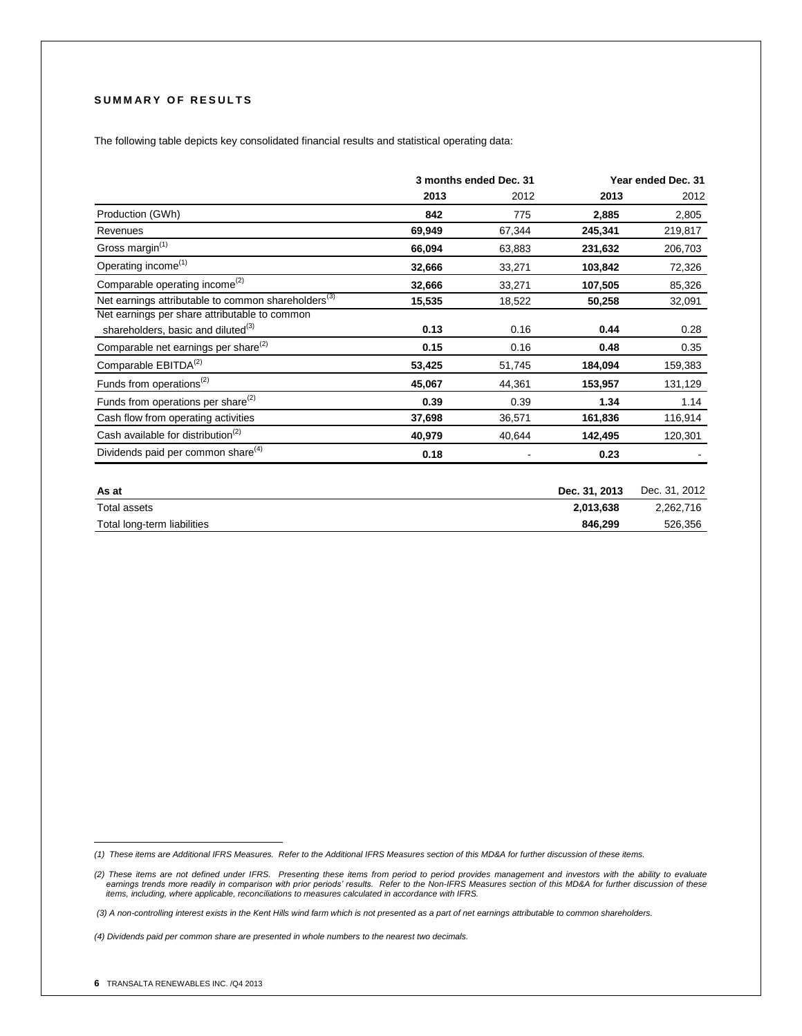# **SUMMARY OF RESULTS**

The following table depicts key consolidated financial results and statistical operating data:<sup>1</sup>

|                                                                 | 3 months ended Dec. 31 |        |               | Year ended Dec. 31 |
|-----------------------------------------------------------------|------------------------|--------|---------------|--------------------|
|                                                                 | 2013                   | 2012   | 2013          | 2012               |
| Production (GWh)                                                | 842                    | 775    | 2,885         | 2,805              |
| Revenues                                                        | 69,949                 | 67,344 | 245,341       | 219,817            |
| Gross margin <sup>(1)</sup>                                     | 66,094                 | 63,883 | 231,632       | 206,703            |
| Operating income <sup>(1)</sup>                                 | 32,666                 | 33,271 | 103,842       | 72,326             |
| Comparable operating income <sup>(2)</sup>                      | 32,666                 | 33,271 | 107,505       | 85,326             |
| Net earnings attributable to common shareholders <sup>(3)</sup> | 15,535                 | 18,522 | 50,258        | 32,091             |
| Net earnings per share attributable to common                   |                        |        |               |                    |
| shareholders, basic and diluted <sup>(3)</sup>                  | 0.13                   | 0.16   | 0.44          | 0.28               |
| Comparable net earnings per share <sup>(2)</sup>                | 0.15                   | 0.16   | 0.48          | 0.35               |
| Comparable EBITDA <sup>(2)</sup>                                | 53,425                 | 51,745 | 184,094       | 159,383            |
| Funds from operations <sup>(2)</sup>                            | 45,067                 | 44,361 | 153,957       | 131,129            |
| Funds from operations per share $^{(2)}$                        | 0.39                   | 0.39   | 1.34          | 1.14               |
| Cash flow from operating activities                             | 37,698                 | 36,571 | 161,836       | 116,914            |
| Cash available for distribution <sup>(2)</sup>                  | 40,979                 | 40,644 | 142,495       | 120,301            |
| Dividends paid per common share <sup>(4)</sup>                  | 0.18                   |        | 0.23          |                    |
| As at                                                           |                        |        | Dec. 31, 2013 | Dec. 31, 2012      |

| As at                       | Dec. 31, 2013 | Dec. 31.<br>2012 |
|-----------------------------|---------------|------------------|
| Total assets                | 2.013.638     | 2.262.716        |
| Total long-term liabilities | 846.299       | 526.356          |
|                             |               |                  |

 *(1) These items are Additional IFRS Measures. Refer to the Additional IFRS Measures section of this MD&A for further discussion of these items.*

<sup>(2)</sup> These items are not defined under IFRS. Presenting these items from period to period provides management and investors with the ability to evaluate<br>earnings trends more readily in comparison with prior periods' results

*<sup>(3)</sup> A non-controlling interest exists in the Kent Hills wind farm which is not presented as a part of net earnings attributable to common shareholders.*

*<sup>(4)</sup> Dividends paid per common share are presented in whole numbers to the nearest two decimals.*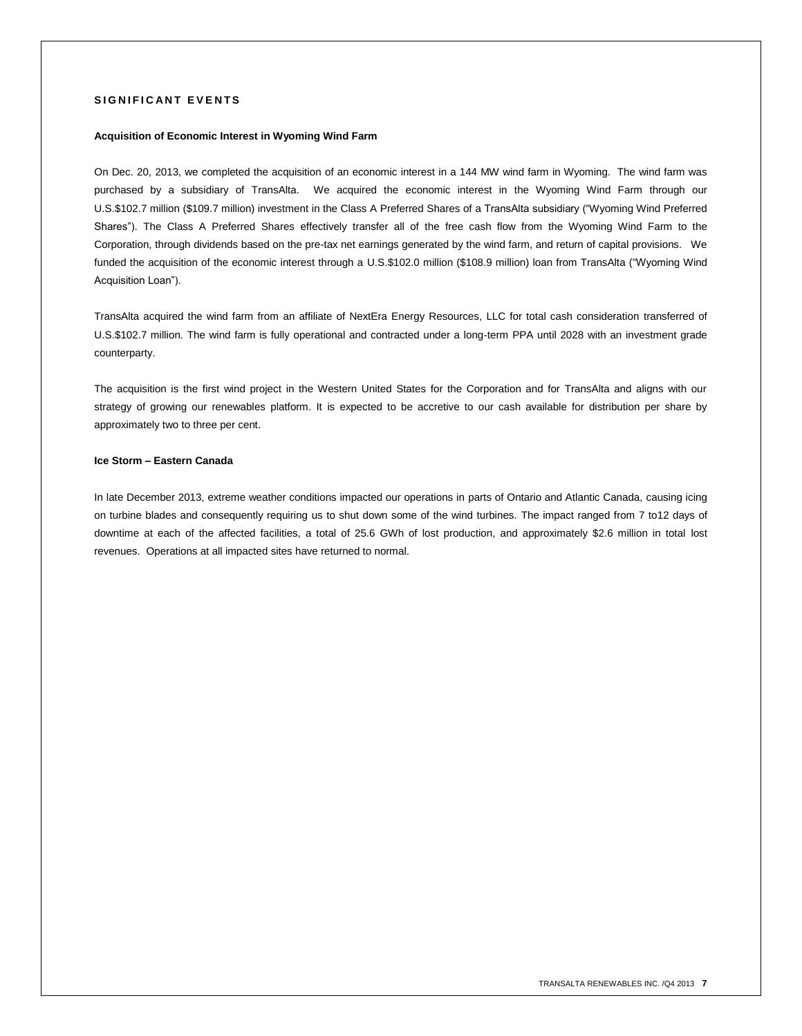# **SIGNIFICANT EVENTS**

# **Acquisition of Economic Interest in Wyoming Wind Farm**

On Dec. 20, 2013, we completed the acquisition of an economic interest in a 144 MW wind farm in Wyoming. The wind farm was purchased by a subsidiary of TransAlta. We acquired the economic interest in the Wyoming Wind Farm through our U.S.\$102.7 million (\$109.7 million) investment in the Class A Preferred Shares of a TransAlta subsidiary ("Wyoming Wind Preferred Shares"). The Class A Preferred Shares effectively transfer all of the free cash flow from the Wyoming Wind Farm to the Corporation, through dividends based on the pre-tax net earnings generated by the wind farm, and return of capital provisions. We funded the acquisition of the economic interest through a U.S.\$102.0 million (\$108.9 million) loan from TransAlta ("Wyoming Wind Acquisition Loan").

TransAlta acquired the wind farm from an affiliate of NextEra Energy Resources, LLC for total cash consideration transferred of U.S.\$102.7 million. The wind farm is fully operational and contracted under a long-term PPA until 2028 with an investment grade counterparty.

The acquisition is the first wind project in the Western United States for the Corporation and for TransAlta and aligns with our strategy of growing our renewables platform. It is expected to be accretive to our cash available for distribution per share by approximately two to three per cent.

# **Ice Storm – Eastern Canada**

In late December 2013, extreme weather conditions impacted our operations in parts of Ontario and Atlantic Canada, causing icing on turbine blades and consequently requiring us to shut down some of the wind turbines. The impact ranged from 7 to12 days of downtime at each of the affected facilities, a total of 25.6 GWh of lost production, and approximately \$2.6 million in total lost revenues. Operations at all impacted sites have returned to normal.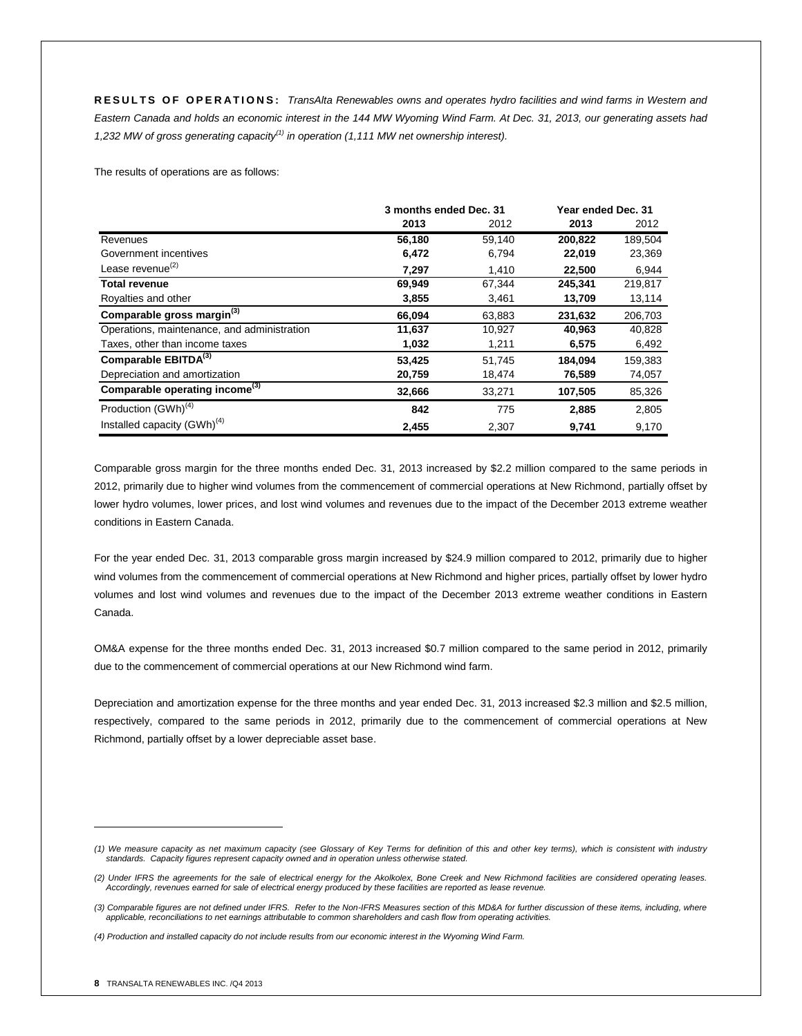**R E S U L T S O F O P E R A T I O N S :** *TransAlta Renewables owns and operates hydro facilities and wind farms in Western and Eastern Canada and holds an economic interest in the 144 MW Wyoming Wind Farm. At Dec. 31, 2013, our generating assets had 1,232 MW of gross generating capacity(1) in operation (1,111 MW net ownership interest).* 

The results of operations are as follows:

|                                             | 3 months ended Dec. 31 |        | Year ended Dec. 31 |         |
|---------------------------------------------|------------------------|--------|--------------------|---------|
|                                             | 2013                   | 2012   | 2013               | 2012    |
| Revenues                                    | 56,180                 | 59,140 | 200,822            | 189,504 |
| Government incentives                       | 6,472                  | 6,794  | 22,019             | 23,369  |
| Lease revenue $^{(2)}$                      | 7,297                  | 1,410  | 22,500             | 6,944   |
| <b>Total revenue</b>                        | 69,949                 | 67,344 | 245,341            | 219,817 |
| Royalties and other                         | 3,855                  | 3,461  | 13,709             | 13,114  |
| Comparable gross margin <sup>(3)</sup>      | 66,094                 | 63,883 | 231,632            | 206,703 |
| Operations, maintenance, and administration | 11,637                 | 10,927 | 40,963             | 40,828  |
| Taxes, other than income taxes              | 1,032                  | 1,211  | 6,575              | 6,492   |
| Comparable EBITDA <sup>(3)</sup>            | 53,425                 | 51,745 | 184.094            | 159,383 |
| Depreciation and amortization               | 20,759                 | 18,474 | 76,589             | 74,057  |
| Comparable operating income <sup>(3)</sup>  | 32,666                 | 33,271 | 107,505            | 85,326  |
| Production (GWh) <sup>(4)</sup>             | 842                    | 775    | 2,885              | 2,805   |
| Installed capacity (GWh) <sup>(4)</sup>     | 2,455                  | 2,307  | 9,741              | 9,170   |

Comparable gross margin for the three months ended Dec. 31, 2013 increased by \$2.2 million compared to the same periods in 2012, primarily due to higher wind volumes from the commencement of commercial operations at New Richmond, partially offset by lower hydro volumes, lower prices, and lost wind volumes and revenues due to the impact of the December 2013 extreme weather conditions in Eastern Canada.

For the year ended Dec. 31, 2013 comparable gross margin increased by \$24.9 million compared to 2012, primarily due to higher wind volumes from the commencement of commercial operations at New Richmond and higher prices, partially offset by lower hydro volumes and lost wind volumes and revenues due to the impact of the December 2013 extreme weather conditions in Eastern Canada.

OM&A expense for the three months ended Dec. 31, 2013 increased \$0.7 million compared to the same period in 2012, primarily due to the commencement of commercial operations at our New Richmond wind farm.

Depreciation and amortization expense for the three months and year ended Dec. 31, 2013 increased \$2.3 million and \$2.5 million, respectively, compared to the same periods in 2012, primarily due to the commencement of commercial operations at New Richmond, partially offset by a lower depreciable asset base.

 $\overline{a}$ 

*<sup>(1)</sup> We measure capacity as net maximum capacity (see Glossary of Key Terms for definition of this and other key terms), which is consistent with industry standards. Capacity figures represent capacity owned and in operation unless otherwise stated.*

*<sup>(2)</sup> Under IFRS the agreements for the sale of electrical energy for the Akolkolex, Bone Creek and New Richmond facilities are considered operating leases. Accordingly, revenues earned for sale of electrical energy produced by these facilities are reported as lease revenue.*

*<sup>(3)</sup> Comparable figures are not defined under IFRS. Refer to the Non-IFRS Measures section of this MD&A for further discussion of these items, including, where applicable, reconciliations to net earnings attributable to common shareholders and cash flow from operating activities.*

*<sup>(4)</sup> Production and installed capacity do not include results from our economic interest in the Wyoming Wind Farm.*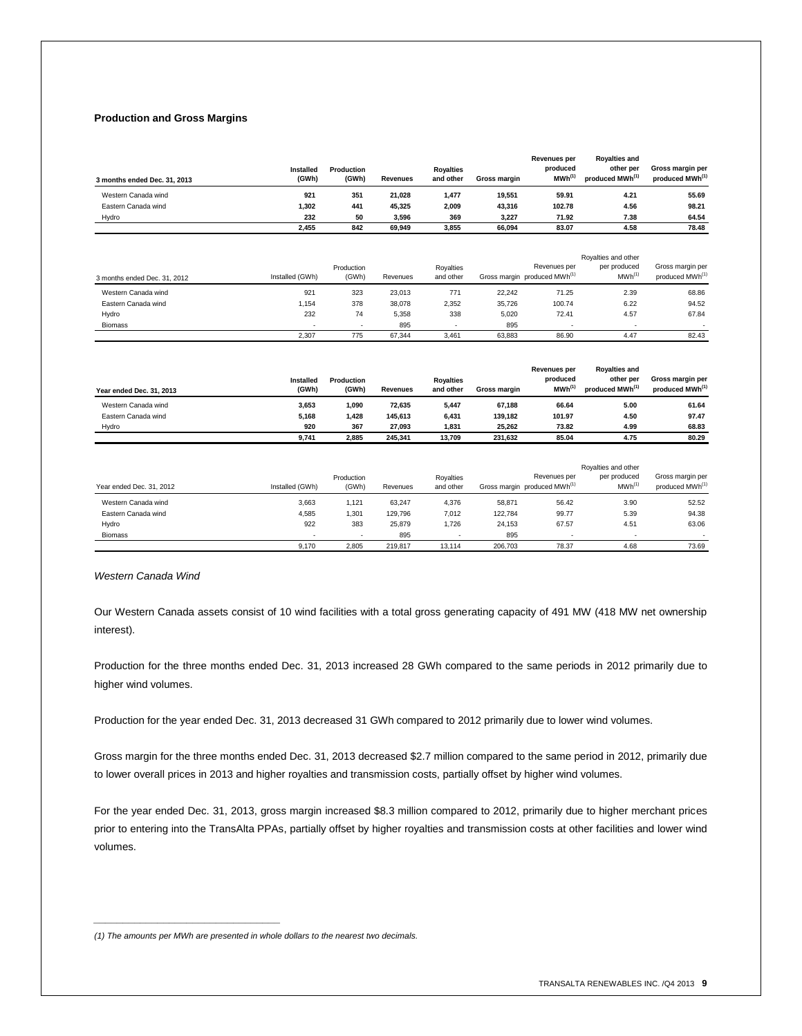# **Production and Gross Margins**

| 3 months ended Dec. 31, 2013 | Installed<br>(GWh) | Production<br>(GWh) | <b>Revenues</b> | <b>Rovalties</b><br>and other | Gross margin | <b>Revenues per</b><br>produced<br>$MWh^{(1)}$ | <b>Royalties and</b><br>other per<br>produced MWh <sup>(1)</sup> | Gross margin per<br>produced MWh <sup>(1)</sup> |
|------------------------------|--------------------|---------------------|-----------------|-------------------------------|--------------|------------------------------------------------|------------------------------------------------------------------|-------------------------------------------------|
| Western Canada wind          | 921                | 351                 | 21.028          | 1,477                         | 19.551       | 59.91                                          | 4.21                                                             | 55.69                                           |
| Eastern Canada wind          | 1,302              | 441                 | 45.325          | 2,009                         | 43,316       | 102.78                                         | 4.56                                                             | 98.21                                           |
| Hydro                        | 232                | 50                  | 3.596           | 369                           | 3.227        | 71.92                                          | 7.38                                                             | 64.54                                           |
|                              | 2.455              | 842                 | 69,949          | 3,855                         | 66.094       | 83.07                                          | 4.58                                                             | 78.48                                           |

| 3 months ended Dec. 31, 2012 | Installed (GWh) | Production<br>(GWh) | Revenues | Royalties<br>and other |        | Revenues per<br>Gross margin produced MWh <sup>(1)</sup> | Rovalties and other<br>per produced<br>$MWh^{(1)}$ | Gross margin per<br>produced MWh <sup>(1)</sup> |
|------------------------------|-----------------|---------------------|----------|------------------------|--------|----------------------------------------------------------|----------------------------------------------------|-------------------------------------------------|
| Western Canada wind          | 921             | 323                 | 23.013   | 771                    | 22.242 | 71.25                                                    | 2.39                                               | 68.86                                           |
| Eastern Canada wind          | 1.154           | 378                 | 38,078   | 2,352                  | 35.726 | 100.74                                                   | 6.22                                               | 94.52                                           |
| Hydro                        | 232             | 74                  | 5,358    | 338                    | 5.020  | 72.41                                                    | 4.57                                               | 67.84                                           |
| <b>Biomass</b>               |                 |                     | 895      |                        | 895    |                                                          | ٠                                                  |                                                 |
|                              | 2.307           | 775                 | 67.344   | 3.461                  | 63.883 | 86.90                                                    | 4.47                                               | 82.43                                           |

| Year ended Dec. 31, 2013 | Installed<br>(GWh) | Production<br>(GWh) | <b>Revenues</b> | <b>Rovalties</b><br>and other | Gross margin | <b>Revenues per</b><br>produced<br>$MWh^{(1)}$ | <b>Rovalties and</b><br>other per<br>produced MWh <sup>(1)</sup> | Gross margin per<br>produced MWh <sup>(1)</sup> |
|--------------------------|--------------------|---------------------|-----------------|-------------------------------|--------------|------------------------------------------------|------------------------------------------------------------------|-------------------------------------------------|
| Western Canada wind      | 3.653              | 1.090               | 72.635          | 5,447                         | 67.188       | 66.64                                          | 5.00                                                             | 61.64                                           |
| Eastern Canada wind      | 5.168              | 1,428               | 145.613         | 6,431                         | 139.182      | 101.97                                         | 4.50                                                             | 97.47                                           |
| Hydro                    | 920                | 367                 | 27.093          | 1.831                         | 25.262       | 73.82                                          | 4.99                                                             | 68.83                                           |
|                          | 9,741              | 2.885               | 245.341         | 13.709                        | 231.632      | 85.04                                          | 4.75                                                             | 80.29                                           |

| Year ended Dec. 31, 2012 | Installed (GWh) | Production<br>(GWh) | Revenues | Rovalties<br>and other |         | Revenues per<br>Gross margin produced MWh <sup>(1)</sup> | Rovalties and other<br>per produced<br>MWh <sup>(1)</sup> | Gross margin per<br>produced MWh <sup>(1)</sup> |
|--------------------------|-----------------|---------------------|----------|------------------------|---------|----------------------------------------------------------|-----------------------------------------------------------|-------------------------------------------------|
| Western Canada wind      | 3.663           | 1.121               | 63.247   | 4.376                  | 58.871  | 56.42                                                    | 3.90                                                      | 52.52                                           |
| Eastern Canada wind      | 4.585           | 1.301               | 129.796  | 7.012                  | 122.784 | 99.77                                                    | 5.39                                                      | 94.38                                           |
| Hydro                    | 922             | 383                 | 25.879   | 1.726                  | 24.153  | 67.57                                                    | 4.51                                                      | 63.06                                           |
| <b>Biomass</b>           |                 | ۰                   | 895      |                        | 895     |                                                          |                                                           |                                                 |
|                          | 9.170           | 2.805               | 219.817  | 13.114                 | 206.703 | 78.37                                                    | 4.68                                                      | 73.69                                           |

*Western Canada Wind*

Our Western Canada assets consist of 10 wind facilities with a total gross generating capacity of 491 MW (418 MW net ownership interest).

Production for the three months ended Dec. 31, 2013 increased 28 GWh compared to the same periods in 2012 primarily due to higher wind volumes.

Production for the year ended Dec. 31, 2013 decreased 31 GWh compared to 2012 primarily due to lower wind volumes.

Gross margin for the three months ended Dec. 31, 2013 decreased \$2.7 million compared to the same period in 2012, primarily due to lower overall prices in 2013 and higher royalties and transmission costs, partially offset by higher wind volumes.

For the year ended Dec. 31, 2013, gross margin increased \$8.3 million compared to 2012, primarily due to higher merchant prices prior to entering into the TransAlta PPAs, partially offset by higher royalties and transmission costs at other facilities and lower wind volumes.

*\_\_\_\_\_\_\_\_\_\_\_\_\_\_\_\_\_\_\_\_\_\_\_\_\_\_\_\_\_\_\_\_*

*<sup>(1)</sup> The amounts per MWh are presented in whole dollars to the nearest two decimals.*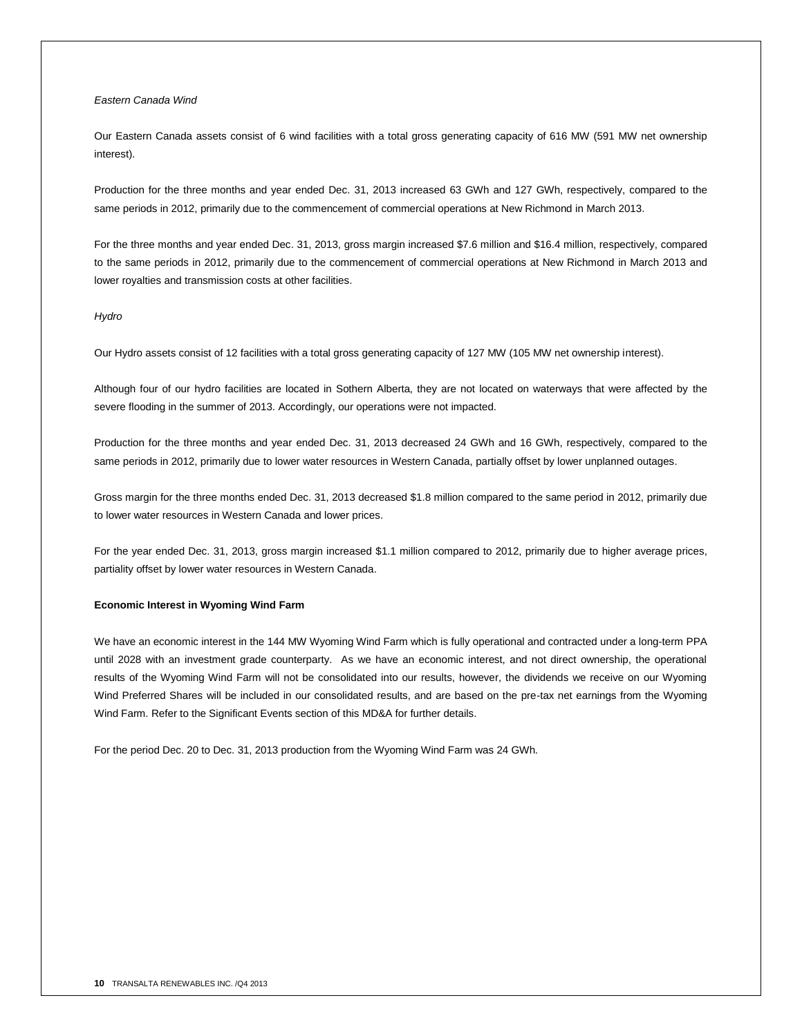# *Eastern Canada Wind*

Our Eastern Canada assets consist of 6 wind facilities with a total gross generating capacity of 616 MW (591 MW net ownership interest).

Production for the three months and year ended Dec. 31, 2013 increased 63 GWh and 127 GWh, respectively, compared to the same periods in 2012, primarily due to the commencement of commercial operations at New Richmond in March 2013.

For the three months and year ended Dec. 31, 2013, gross margin increased \$7.6 million and \$16.4 million, respectively, compared to the same periods in 2012, primarily due to the commencement of commercial operations at New Richmond in March 2013 and lower royalties and transmission costs at other facilities.

#### *Hydro*

Our Hydro assets consist of 12 facilities with a total gross generating capacity of 127 MW (105 MW net ownership interest).

Although four of our hydro facilities are located in Sothern Alberta, they are not located on waterways that were affected by the severe flooding in the summer of 2013. Accordingly, our operations were not impacted.

Production for the three months and year ended Dec. 31, 2013 decreased 24 GWh and 16 GWh, respectively, compared to the same periods in 2012, primarily due to lower water resources in Western Canada, partially offset by lower unplanned outages.

Gross margin for the three months ended Dec. 31, 2013 decreased \$1.8 million compared to the same period in 2012, primarily due to lower water resources in Western Canada and lower prices.

For the year ended Dec. 31, 2013, gross margin increased \$1.1 million compared to 2012, primarily due to higher average prices, partiality offset by lower water resources in Western Canada.

#### **Economic Interest in Wyoming Wind Farm**

We have an economic interest in the 144 MW Wyoming Wind Farm which is fully operational and contracted under a long-term PPA until 2028 with an investment grade counterparty. As we have an economic interest, and not direct ownership, the operational results of the Wyoming Wind Farm will not be consolidated into our results, however, the dividends we receive on our Wyoming Wind Preferred Shares will be included in our consolidated results, and are based on the pre-tax net earnings from the Wyoming Wind Farm. Refer to the Significant Events section of this MD&A for further details.

For the period Dec. 20 to Dec. 31, 2013 production from the Wyoming Wind Farm was 24 GWh.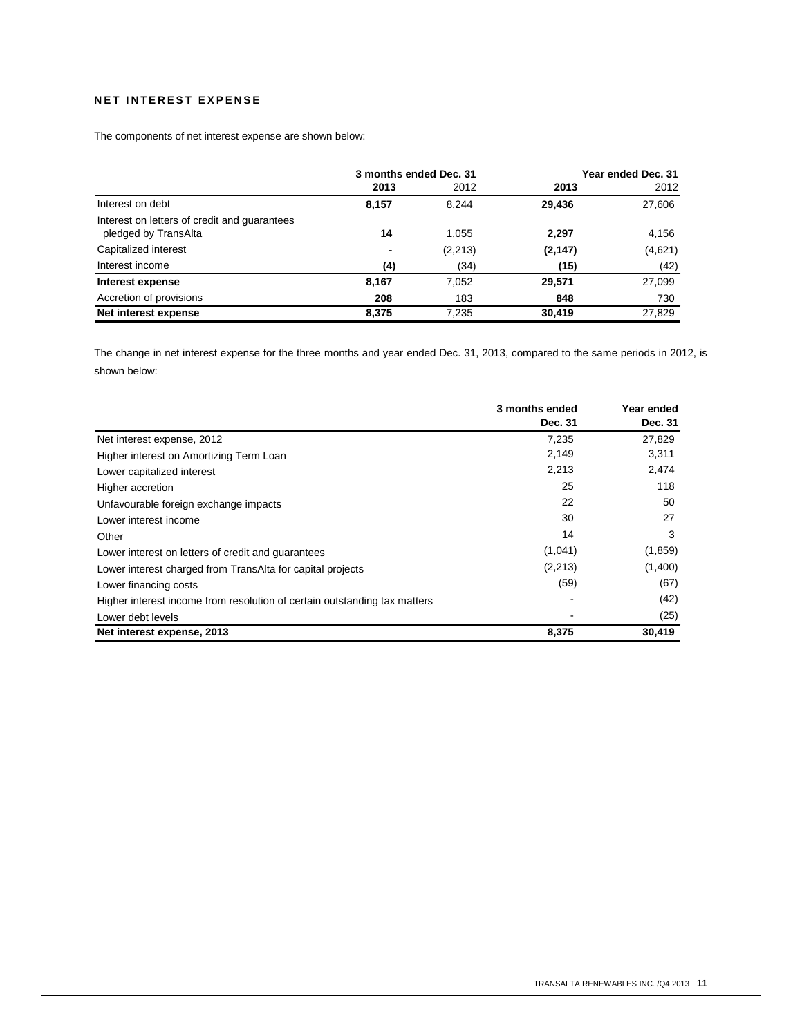# **NET INTEREST EXPENSE**

The components of net interest expense are shown below:

|                                                                      | 3 months ended Dec. 31 |          |          | Year ended Dec. 31 |
|----------------------------------------------------------------------|------------------------|----------|----------|--------------------|
|                                                                      | 2013                   | 2012     | 2013     | 2012               |
| Interest on debt                                                     | 8,157                  | 8.244    | 29.436   | 27,606             |
| Interest on letters of credit and guarantees<br>pledged by TransAlta | 14                     | 1.055    | 2,297    | 4,156              |
| Capitalized interest                                                 | -                      | (2, 213) | (2, 147) | (4,621)            |
| Interest income                                                      | (4)                    | (34)     | (15)     | (42)               |
| Interest expense                                                     | 8,167                  | 7,052    | 29,571   | 27,099             |
| Accretion of provisions                                              | 208                    | 183      | 848      | 730                |
| Net interest expense                                                 | 8,375                  | 7,235    | 30.419   | 27.829             |

The change in net interest expense for the three months and year ended Dec. 31, 2013, compared to the same periods in 2012, is shown below:

|                                                                           | 3 months ended | Year ended |  |
|---------------------------------------------------------------------------|----------------|------------|--|
|                                                                           | Dec. 31        | Dec. 31    |  |
| Net interest expense, 2012                                                | 7,235          | 27,829     |  |
| Higher interest on Amortizing Term Loan                                   | 2,149          | 3,311      |  |
| Lower capitalized interest                                                | 2,213          | 2,474      |  |
| Higher accretion                                                          | 25             | 118        |  |
| Unfavourable foreign exchange impacts                                     | 22             | 50         |  |
| Lower interest income                                                     | 30             | 27         |  |
| Other                                                                     | 14             | 3          |  |
| Lower interest on letters of credit and guarantees                        | (1,041)        | (1,859)    |  |
| Lower interest charged from TransAlta for capital projects                | (2,213)        | (1,400)    |  |
| Lower financing costs                                                     | (59)           | (67)       |  |
| Higher interest income from resolution of certain outstanding tax matters |                | (42)       |  |
| Lower debt levels                                                         |                | (25)       |  |
| Net interest expense, 2013                                                | 8,375          | 30,419     |  |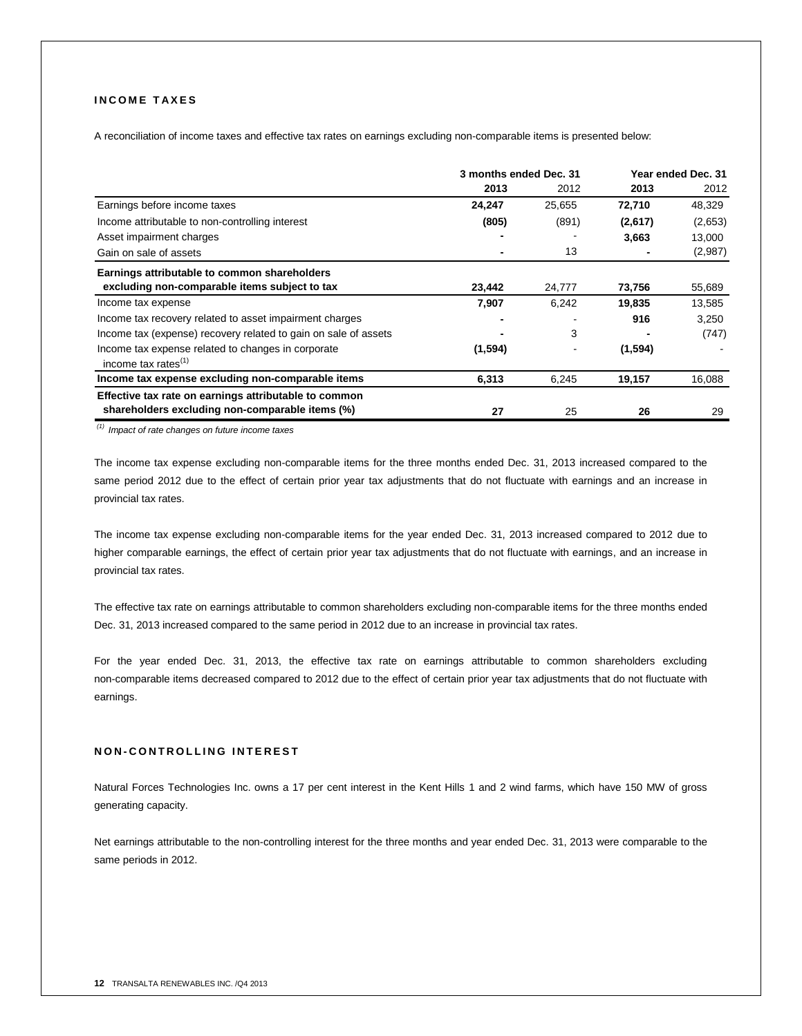# **I N C O M E T A X E S**

A reconciliation of income taxes and effective tax rates on earnings excluding non-comparable items is presented below:

|                                                                 | 3 months ended Dec. 31 |        |         | Year ended Dec. 31 |
|-----------------------------------------------------------------|------------------------|--------|---------|--------------------|
|                                                                 | 2013                   | 2012   | 2013    | 2012               |
| Earnings before income taxes                                    | 24,247                 | 25,655 | 72,710  | 48,329             |
| Income attributable to non-controlling interest                 | (805)                  | (891)  | (2,617) | (2,653)            |
| Asset impairment charges                                        |                        |        | 3,663   | 13,000             |
| Gain on sale of assets                                          |                        | 13     |         | (2,987)            |
| Earnings attributable to common shareholders                    |                        |        |         |                    |
| excluding non-comparable items subject to tax                   | 23,442                 | 24,777 | 73,756  | 55,689             |
| Income tax expense                                              | 7,907                  | 6,242  | 19,835  | 13,585             |
| Income tax recovery related to asset impairment charges         |                        |        | 916     | 3,250              |
| Income tax (expense) recovery related to gain on sale of assets |                        | 3      |         | (747)              |
| Income tax expense related to changes in corporate              | (1,594)                |        | (1,594) |                    |
| income tax rates $(1)$                                          |                        |        |         |                    |
| Income tax expense excluding non-comparable items               | 6,313                  | 6,245  | 19,157  | 16,088             |
| Effective tax rate on earnings attributable to common           |                        |        |         |                    |
| shareholders excluding non-comparable items (%)                 | 27                     | 25     | 26      | 29                 |

*(1) Impact of rate changes on future income taxes*

The income tax expense excluding non-comparable items for the three months ended Dec. 31, 2013 increased compared to the same period 2012 due to the effect of certain prior year tax adjustments that do not fluctuate with earnings and an increase in provincial tax rates.

The income tax expense excluding non-comparable items for the year ended Dec. 31, 2013 increased compared to 2012 due to higher comparable earnings, the effect of certain prior year tax adjustments that do not fluctuate with earnings, and an increase in provincial tax rates.

The effective tax rate on earnings attributable to common shareholders excluding non-comparable items for the three months ended Dec. 31, 2013 increased compared to the same period in 2012 due to an increase in provincial tax rates.

For the year ended Dec. 31, 2013, the effective tax rate on earnings attributable to common shareholders excluding non-comparable items decreased compared to 2012 due to the effect of certain prior year tax adjustments that do not fluctuate with earnings.

# **N O N - C O N T R O L L I N G I N T E R E S T**

Natural Forces Technologies Inc. owns a 17 per cent interest in the Kent Hills 1 and 2 wind farms, which have 150 MW of gross generating capacity.

Net earnings attributable to the non-controlling interest for the three months and year ended Dec. 31, 2013 were comparable to the same periods in 2012.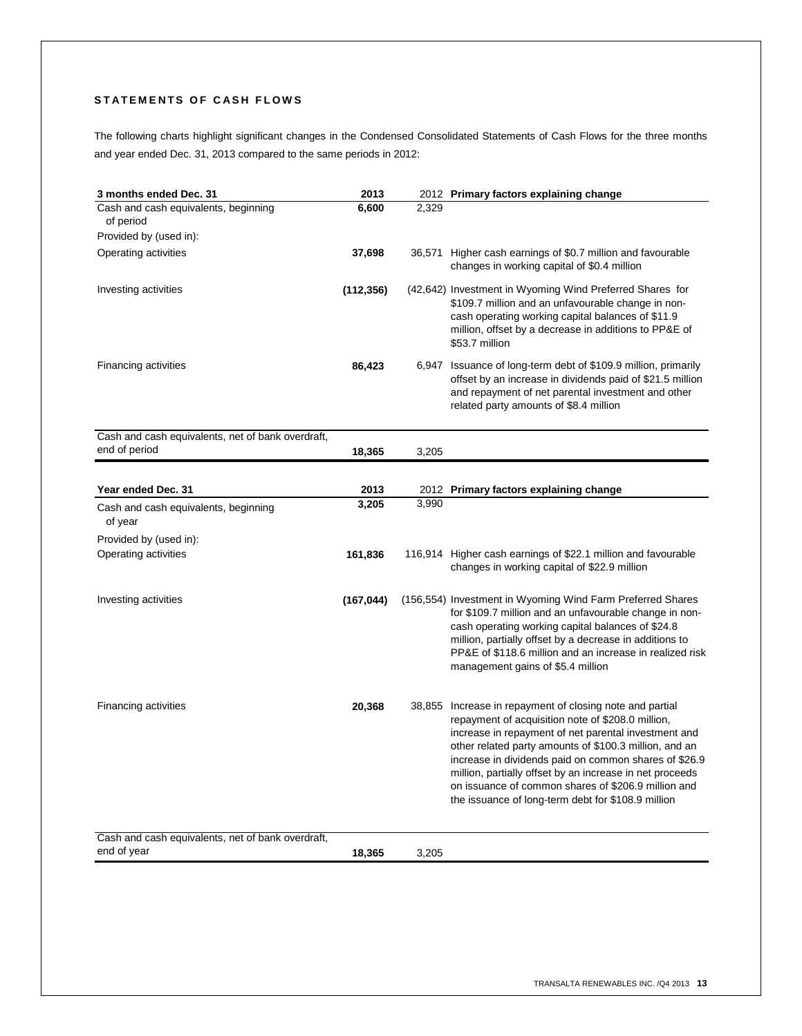# STATEMENTS OF CASH FLOWS

The following charts highlight significant changes in the Condensed Consolidated Statements of Cash Flows for the three months and year ended Dec. 31, 2013 compared to the same periods in 2012:

| 3 months ended Dec. 31                            | 2013       |       | 2012 Primary factors explaining change                                                                                                                                                                                                                                                                                                                                                                                                                            |
|---------------------------------------------------|------------|-------|-------------------------------------------------------------------------------------------------------------------------------------------------------------------------------------------------------------------------------------------------------------------------------------------------------------------------------------------------------------------------------------------------------------------------------------------------------------------|
| Cash and cash equivalents, beginning<br>of period | 6,600      | 2,329 |                                                                                                                                                                                                                                                                                                                                                                                                                                                                   |
| Provided by (used in):                            |            |       |                                                                                                                                                                                                                                                                                                                                                                                                                                                                   |
| Operating activities                              | 37,698     |       | 36,571 Higher cash earnings of \$0.7 million and favourable<br>changes in working capital of \$0.4 million                                                                                                                                                                                                                                                                                                                                                        |
| Investing activities                              | (112, 356) |       | (42,642) Investment in Wyoming Wind Preferred Shares for<br>\$109.7 million and an unfavourable change in non-<br>cash operating working capital balances of \$11.9<br>million, offset by a decrease in additions to PP&E of<br>\$53.7 million                                                                                                                                                                                                                    |
| <b>Financing activities</b>                       | 86,423     |       | 6,947 Issuance of long-term debt of \$109.9 million, primarily<br>offset by an increase in dividends paid of \$21.5 million<br>and repayment of net parental investment and other<br>related party amounts of \$8.4 million                                                                                                                                                                                                                                       |
| Cash and cash equivalents, net of bank overdraft, |            |       |                                                                                                                                                                                                                                                                                                                                                                                                                                                                   |
| end of period                                     | 18,365     | 3,205 |                                                                                                                                                                                                                                                                                                                                                                                                                                                                   |
|                                                   |            |       |                                                                                                                                                                                                                                                                                                                                                                                                                                                                   |
| Year ended Dec. 31                                | 2013       |       | 2012 Primary factors explaining change                                                                                                                                                                                                                                                                                                                                                                                                                            |
| Cash and cash equivalents, beginning<br>of year   | 3,205      | 3,990 |                                                                                                                                                                                                                                                                                                                                                                                                                                                                   |
| Provided by (used in):                            |            |       |                                                                                                                                                                                                                                                                                                                                                                                                                                                                   |
| Operating activities                              | 161,836    |       | 116,914 Higher cash earnings of \$22.1 million and favourable<br>changes in working capital of \$22.9 million                                                                                                                                                                                                                                                                                                                                                     |
| Investing activities                              | (167, 044) |       | (156,554) Investment in Wyoming Wind Farm Preferred Shares<br>for \$109.7 million and an unfavourable change in non-<br>cash operating working capital balances of \$24.8<br>million, partially offset by a decrease in additions to<br>PP&E of \$118.6 million and an increase in realized risk<br>management gains of \$5.4 million                                                                                                                             |
| Financing activities                              | 20,368     |       | 38,855 Increase in repayment of closing note and partial<br>repayment of acquisition note of \$208.0 million,<br>increase in repayment of net parental investment and<br>other related party amounts of \$100.3 million, and an<br>increase in dividends paid on common shares of \$26.9<br>million, partially offset by an increase in net proceeds<br>on issuance of common shares of \$206.9 million and<br>the issuance of long-term debt for \$108.9 million |
|                                                   |            |       |                                                                                                                                                                                                                                                                                                                                                                                                                                                                   |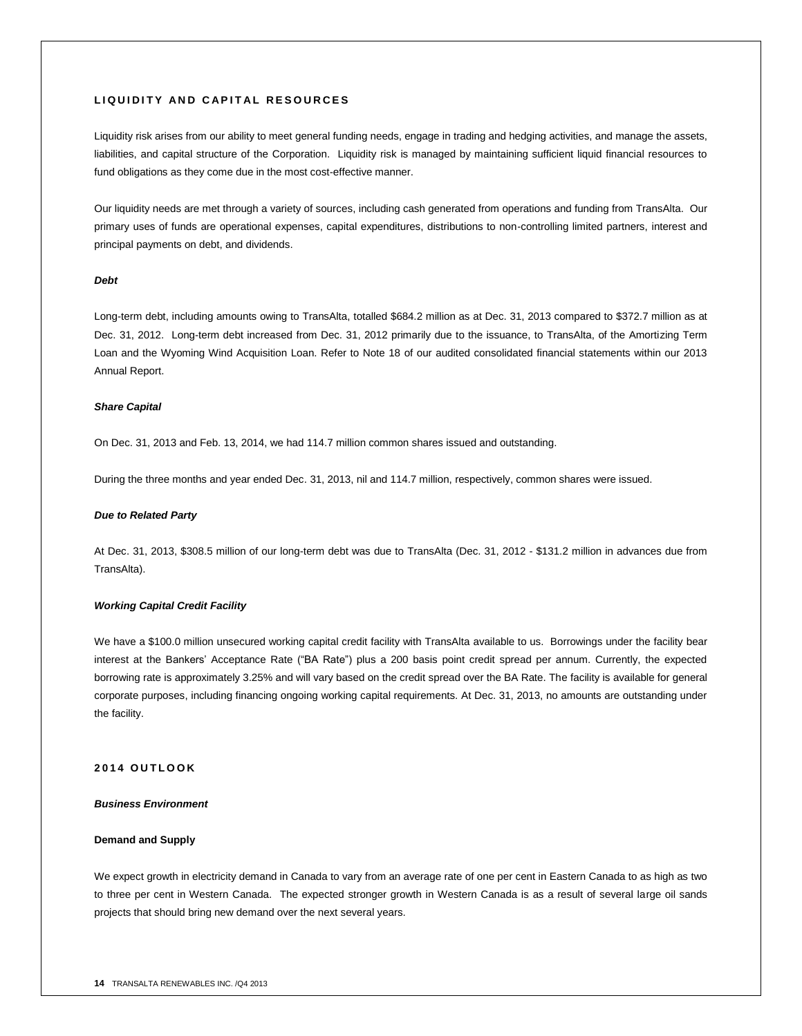# **L I Q U I D I T Y A N D C A P I T A L R E S O U R C E S**

Liquidity risk arises from our ability to meet general funding needs, engage in trading and hedging activities, and manage the assets, liabilities, and capital structure of the Corporation. Liquidity risk is managed by maintaining sufficient liquid financial resources to fund obligations as they come due in the most cost-effective manner.

Our liquidity needs are met through a variety of sources, including cash generated from operations and funding from TransAlta. Our primary uses of funds are operational expenses, capital expenditures, distributions to non-controlling limited partners, interest and principal payments on debt, and dividends.

# *Debt*

Long-term debt, including amounts owing to TransAlta, totalled \$684.2 million as at Dec. 31, 2013 compared to \$372.7 million as at Dec. 31, 2012. Long-term debt increased from Dec. 31, 2012 primarily due to the issuance, to TransAlta, of the Amortizing Term Loan and the Wyoming Wind Acquisition Loan. Refer to Note 18 of our audited consolidated financial statements within our 2013 Annual Report.

#### *Share Capital*

On Dec. 31, 2013 and Feb. 13, 2014, we had 114.7 million common shares issued and outstanding.

During the three months and year ended Dec. 31, 2013, nil and 114.7 million, respectively, common shares were issued.

#### *Due to Related Party*

At Dec. 31, 2013, \$308.5 million of our long-term debt was due to TransAlta (Dec. 31, 2012 - \$131.2 million in advances due from TransAlta).

# *Working Capital Credit Facility*

We have a \$100.0 million unsecured working capital credit facility with TransAlta available to us. Borrowings under the facility bear interest at the Bankers' Acceptance Rate ("BA Rate") plus a 200 basis point credit spread per annum. Currently, the expected borrowing rate is approximately 3.25% and will vary based on the credit spread over the BA Rate. The facility is available for general corporate purposes, including financing ongoing working capital requirements. At Dec. 31, 2013, no amounts are outstanding under the facility.

#### **201 4 O U T L O O K**

#### *Business Environment*

# **Demand and Supply**

We expect growth in electricity demand in Canada to vary from an average rate of one per cent in Eastern Canada to as high as two to three per cent in Western Canada. The expected stronger growth in Western Canada is as a result of several large oil sands projects that should bring new demand over the next several years.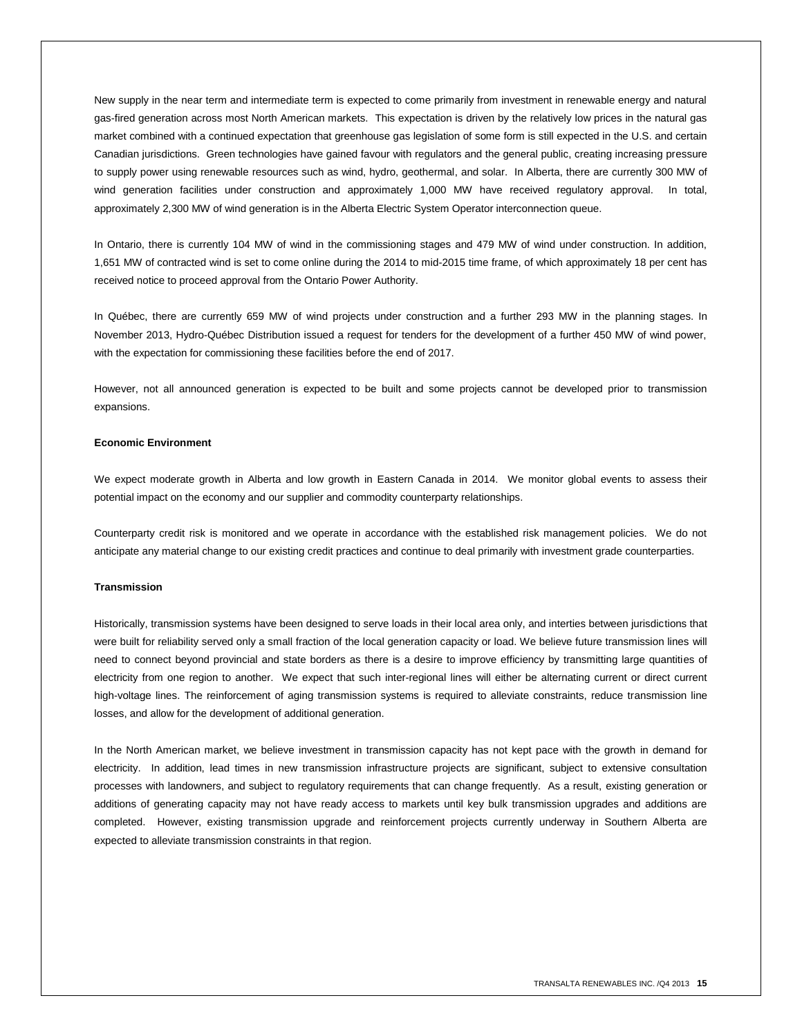New supply in the near term and intermediate term is expected to come primarily from investment in renewable energy and natural gas-fired generation across most North American markets. This expectation is driven by the relatively low prices in the natural gas market combined with a continued expectation that greenhouse gas legislation of some form is still expected in the U.S. and certain Canadian jurisdictions. Green technologies have gained favour with regulators and the general public, creating increasing pressure to supply power using renewable resources such as wind, hydro, geothermal, and solar. In Alberta, there are currently 300 MW of wind generation facilities under construction and approximately 1,000 MW have received regulatory approval. In total, approximately 2,300 MW of wind generation is in the Alberta Electric System Operator interconnection queue.

In Ontario, there is currently 104 MW of wind in the commissioning stages and 479 MW of wind under construction. In addition, 1,651 MW of contracted wind is set to come online during the 2014 to mid-2015 time frame, of which approximately 18 per cent has received notice to proceed approval from the Ontario Power Authority.

In Québec, there are currently 659 MW of wind projects under construction and a further 293 MW in the planning stages. In November 2013, Hydro-Québec Distribution issued a request for tenders for the development of a further 450 MW of wind power, with the expectation for commissioning these facilities before the end of 2017.

However, not all announced generation is expected to be built and some projects cannot be developed prior to transmission expansions.

#### **Economic Environment**

We expect moderate growth in Alberta and low growth in Eastern Canada in 2014. We monitor global events to assess their potential impact on the economy and our supplier and commodity counterparty relationships.

Counterparty credit risk is monitored and we operate in accordance with the established risk management policies. We do not anticipate any material change to our existing credit practices and continue to deal primarily with investment grade counterparties.

#### **Transmission**

Historically, transmission systems have been designed to serve loads in their local area only, and interties between jurisdictions that were built for reliability served only a small fraction of the local generation capacity or load. We believe future transmission lines will need to connect beyond provincial and state borders as there is a desire to improve efficiency by transmitting large quantities of electricity from one region to another. We expect that such inter-regional lines will either be alternating current or direct current high-voltage lines. The reinforcement of aging transmission systems is required to alleviate constraints, reduce transmission line losses, and allow for the development of additional generation.

In the North American market, we believe investment in transmission capacity has not kept pace with the growth in demand for electricity. In addition, lead times in new transmission infrastructure projects are significant, subject to extensive consultation processes with landowners, and subject to regulatory requirements that can change frequently. As a result, existing generation or additions of generating capacity may not have ready access to markets until key bulk transmission upgrades and additions are completed. However, existing transmission upgrade and reinforcement projects currently underway in Southern Alberta are expected to alleviate transmission constraints in that region.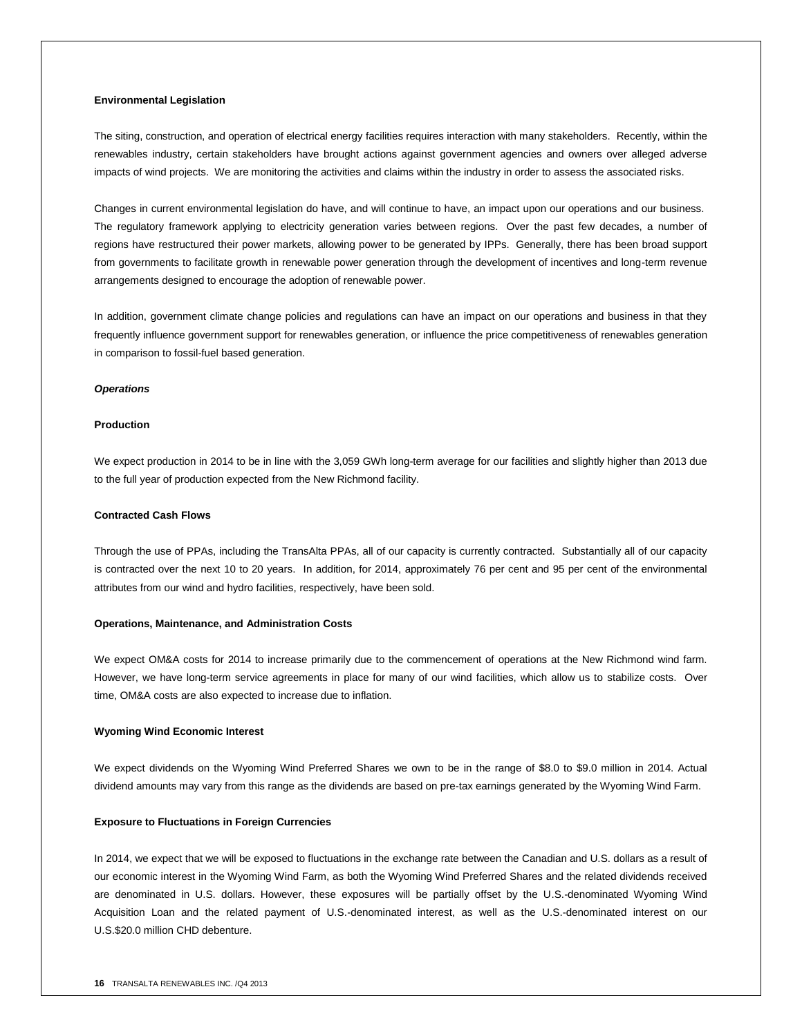#### **Environmental Legislation**

The siting, construction, and operation of electrical energy facilities requires interaction with many stakeholders. Recently, within the renewables industry, certain stakeholders have brought actions against government agencies and owners over alleged adverse impacts of wind projects. We are monitoring the activities and claims within the industry in order to assess the associated risks.

Changes in current environmental legislation do have, and will continue to have, an impact upon our operations and our business. The regulatory framework applying to electricity generation varies between regions. Over the past few decades, a number of regions have restructured their power markets, allowing power to be generated by IPPs. Generally, there has been broad support from governments to facilitate growth in renewable power generation through the development of incentives and long-term revenue arrangements designed to encourage the adoption of renewable power.

In addition, government climate change policies and regulations can have an impact on our operations and business in that they frequently influence government support for renewables generation, or influence the price competitiveness of renewables generation in comparison to fossil-fuel based generation.

#### *Operations*

# **Production**

We expect production in 2014 to be in line with the 3,059 GWh long-term average for our facilities and slightly higher than 2013 due to the full year of production expected from the New Richmond facility.

#### **Contracted Cash Flows**

Through the use of PPAs, including the TransAlta PPAs, all of our capacity is currently contracted. Substantially all of our capacity is contracted over the next 10 to 20 years. In addition, for 2014, approximately 76 per cent and 95 per cent of the environmental attributes from our wind and hydro facilities, respectively, have been sold.

#### **Operations, Maintenance, and Administration Costs**

We expect OM&A costs for 2014 to increase primarily due to the commencement of operations at the New Richmond wind farm. However, we have long-term service agreements in place for many of our wind facilities, which allow us to stabilize costs. Over time, OM&A costs are also expected to increase due to inflation.

#### **Wyoming Wind Economic Interest**

We expect dividends on the Wyoming Wind Preferred Shares we own to be in the range of \$8.0 to \$9.0 million in 2014. Actual dividend amounts may vary from this range as the dividends are based on pre-tax earnings generated by the Wyoming Wind Farm.

### **Exposure to Fluctuations in Foreign Currencies**

In 2014, we expect that we will be exposed to fluctuations in the exchange rate between the Canadian and U.S. dollars as a result of our economic interest in the Wyoming Wind Farm, as both the Wyoming Wind Preferred Shares and the related dividends received are denominated in U.S. dollars. However, these exposures will be partially offset by the U.S.-denominated Wyoming Wind Acquisition Loan and the related payment of U.S.-denominated interest, as well as the U.S.-denominated interest on our U.S.\$20.0 million CHD debenture.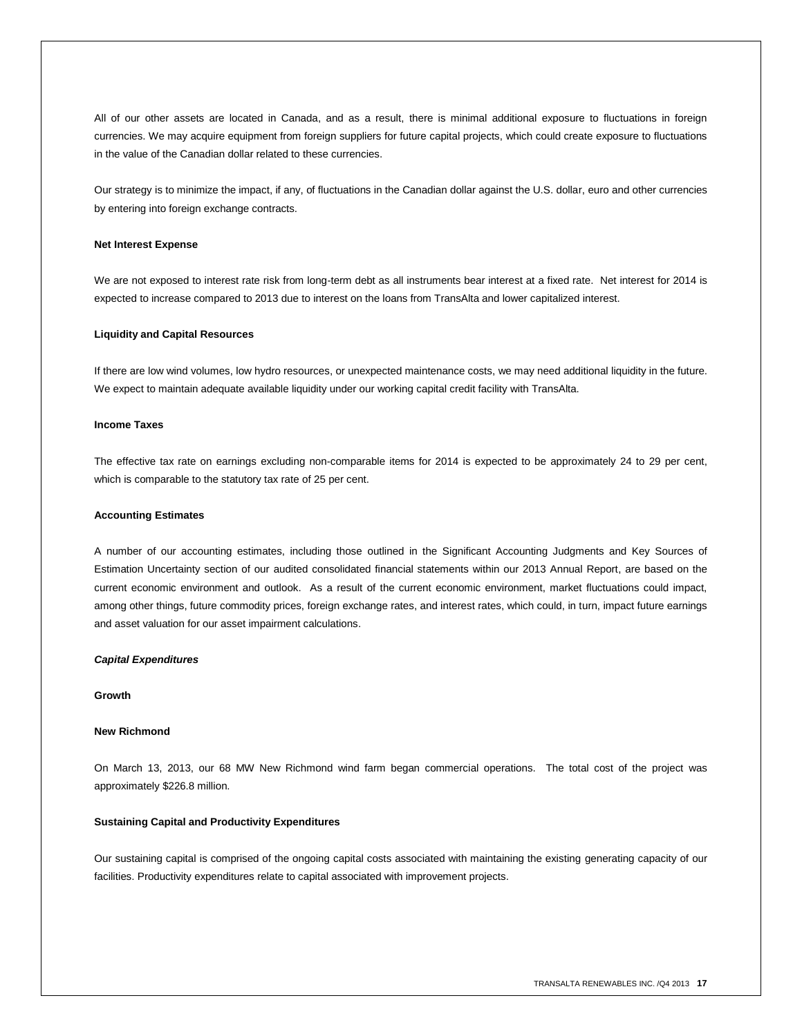All of our other assets are located in Canada, and as a result, there is minimal additional exposure to fluctuations in foreign currencies. We may acquire equipment from foreign suppliers for future capital projects, which could create exposure to fluctuations in the value of the Canadian dollar related to these currencies.

Our strategy is to minimize the impact, if any, of fluctuations in the Canadian dollar against the U.S. dollar, euro and other currencies by entering into foreign exchange contracts.

#### **Net Interest Expense**

We are not exposed to interest rate risk from long-term debt as all instruments bear interest at a fixed rate. Net interest for 2014 is expected to increase compared to 2013 due to interest on the loans from TransAlta and lower capitalized interest.

#### **Liquidity and Capital Resources**

If there are low wind volumes, low hydro resources, or unexpected maintenance costs, we may need additional liquidity in the future. We expect to maintain adequate available liquidity under our working capital credit facility with TransAlta.

# **Income Taxes**

The effective tax rate on earnings excluding non-comparable items for 2014 is expected to be approximately 24 to 29 per cent, which is comparable to the statutory tax rate of 25 per cent.

#### **Accounting Estimates**

A number of our accounting estimates, including those outlined in the Significant Accounting Judgments and Key Sources of Estimation Uncertainty section of our audited consolidated financial statements within our 2013 Annual Report, are based on the current economic environment and outlook. As a result of the current economic environment, market fluctuations could impact, among other things, future commodity prices, foreign exchange rates, and interest rates, which could, in turn, impact future earnings and asset valuation for our asset impairment calculations.

#### *Capital Expenditures*

#### **Growth**

# **New Richmond**

On March 13, 2013, our 68 MW New Richmond wind farm began commercial operations. The total cost of the project was approximately \$226.8 million.

#### **Sustaining Capital and Productivity Expenditures**

Our sustaining capital is comprised of the ongoing capital costs associated with maintaining the existing generating capacity of our facilities. Productivity expenditures relate to capital associated with improvement projects.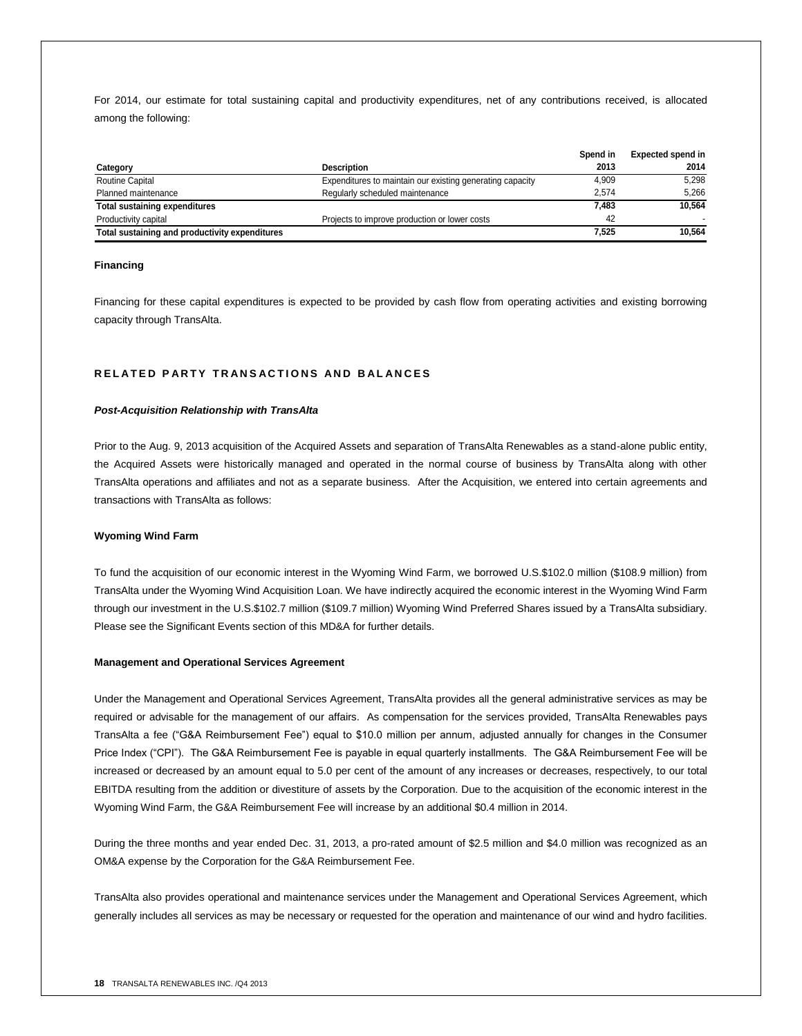For 2014, our estimate for total sustaining capital and productivity expenditures, net of any contributions received, is allocated among the following:

|                                                |                                                           | Spend in | <b>Expected spend in</b> |
|------------------------------------------------|-----------------------------------------------------------|----------|--------------------------|
| Category                                       | <b>Description</b>                                        | 2013     | 2014                     |
| <b>Routine Capital</b>                         | Expenditures to maintain our existing generating capacity | 4.909    | 5.298                    |
| Planned maintenance                            | Regularly scheduled maintenance                           | 2.574    | 5.266                    |
| <b>Total sustaining expenditures</b>           |                                                           | 7.483    | 10.564                   |
| Productivity capital                           | Projects to improve production or lower costs             | 42       |                          |
| Total sustaining and productivity expenditures |                                                           | 7.525    | 10.564                   |

#### **Financing**

Financing for these capital expenditures is expected to be provided by cash flow from operating activities and existing borrowing capacity through TransAlta.

# **R E L A T E D P A R T Y T R A N S A C T I O N S A N D B A L A N C E S**

#### *Post-Acquisition Relationship with TransAlta*

Prior to the Aug. 9, 2013 acquisition of the Acquired Assets and separation of TransAlta Renewables as a stand-alone public entity, the Acquired Assets were historically managed and operated in the normal course of business by TransAlta along with other TransAlta operations and affiliates and not as a separate business. After the Acquisition, we entered into certain agreements and transactions with TransAlta as follows:

#### **Wyoming Wind Farm**

To fund the acquisition of our economic interest in the Wyoming Wind Farm, we borrowed U.S.\$102.0 million (\$108.9 million) from TransAlta under the Wyoming Wind Acquisition Loan. We have indirectly acquired the economic interest in the Wyoming Wind Farm through our investment in the U.S.\$102.7 million (\$109.7 million) Wyoming Wind Preferred Shares issued by a TransAlta subsidiary. Please see the Significant Events section of this MD&A for further details.

#### **Management and Operational Services Agreement**

Under the Management and Operational Services Agreement, TransAlta provides all the general administrative services as may be required or advisable for the management of our affairs. As compensation for the services provided, TransAlta Renewables pays TransAlta a fee ("G&A Reimbursement Fee") equal to \$10.0 million per annum, adjusted annually for changes in the Consumer Price Index ("CPI"). The G&A Reimbursement Fee is payable in equal quarterly installments. The G&A Reimbursement Fee will be increased or decreased by an amount equal to 5.0 per cent of the amount of any increases or decreases, respectively, to our total EBITDA resulting from the addition or divestiture of assets by the Corporation. Due to the acquisition of the economic interest in the Wyoming Wind Farm, the G&A Reimbursement Fee will increase by an additional \$0.4 million in 2014.

During the three months and year ended Dec. 31, 2013, a pro-rated amount of \$2.5 million and \$4.0 million was recognized as an OM&A expense by the Corporation for the G&A Reimbursement Fee.

TransAlta also provides operational and maintenance services under the Management and Operational Services Agreement, which generally includes all services as may be necessary or requested for the operation and maintenance of our wind and hydro facilities.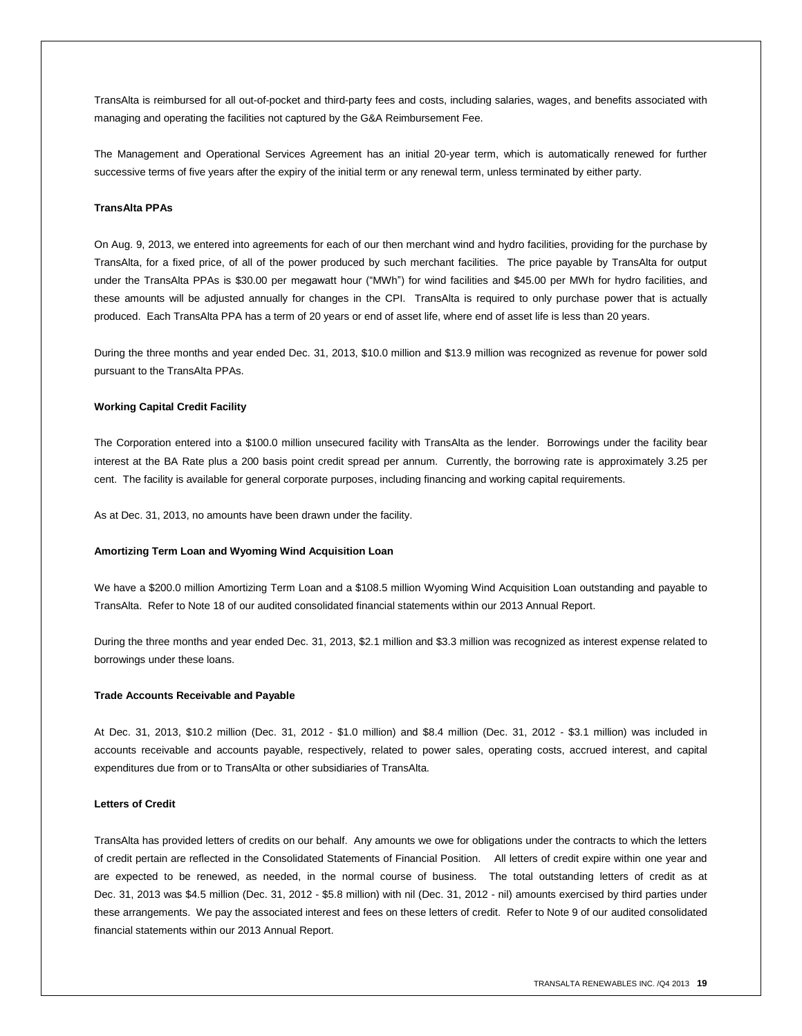TransAlta is reimbursed for all out-of-pocket and third-party fees and costs, including salaries, wages, and benefits associated with managing and operating the facilities not captured by the G&A Reimbursement Fee.

The Management and Operational Services Agreement has an initial 20-year term, which is automatically renewed for further successive terms of five years after the expiry of the initial term or any renewal term, unless terminated by either party.

### **TransAlta PPAs**

On Aug. 9, 2013, we entered into agreements for each of our then merchant wind and hydro facilities, providing for the purchase by TransAlta, for a fixed price, of all of the power produced by such merchant facilities. The price payable by TransAlta for output under the TransAlta PPAs is \$30.00 per megawatt hour ("MWh") for wind facilities and \$45.00 per MWh for hydro facilities, and these amounts will be adjusted annually for changes in the CPI. TransAlta is required to only purchase power that is actually produced. Each TransAlta PPA has a term of 20 years or end of asset life, where end of asset life is less than 20 years.

During the three months and year ended Dec. 31, 2013, \$10.0 million and \$13.9 million was recognized as revenue for power sold pursuant to the TransAlta PPAs.

#### **Working Capital Credit Facility**

The Corporation entered into a \$100.0 million unsecured facility with TransAlta as the lender. Borrowings under the facility bear interest at the BA Rate plus a 200 basis point credit spread per annum. Currently, the borrowing rate is approximately 3.25 per cent. The facility is available for general corporate purposes, including financing and working capital requirements.

As at Dec. 31, 2013, no amounts have been drawn under the facility.

#### **Amortizing Term Loan and Wyoming Wind Acquisition Loan**

We have a \$200.0 million Amortizing Term Loan and a \$108.5 million Wyoming Wind Acquisition Loan outstanding and payable to TransAlta. Refer to Note 18 of our audited consolidated financial statements within our 2013 Annual Report.

During the three months and year ended Dec. 31, 2013, \$2.1 million and \$3.3 million was recognized as interest expense related to borrowings under these loans.

#### **Trade Accounts Receivable and Payable**

At Dec. 31, 2013, \$10.2 million (Dec. 31, 2012 - \$1.0 million) and \$8.4 million (Dec. 31, 2012 - \$3.1 million) was included in accounts receivable and accounts payable, respectively, related to power sales, operating costs, accrued interest, and capital expenditures due from or to TransAlta or other subsidiaries of TransAlta.

#### **Letters of Credit**

TransAlta has provided letters of credits on our behalf. Any amounts we owe for obligations under the contracts to which the letters of credit pertain are reflected in the Consolidated Statements of Financial Position. All letters of credit expire within one year and are expected to be renewed, as needed, in the normal course of business. The total outstanding letters of credit as at Dec. 31, 2013 was \$4.5 million (Dec. 31, 2012 - \$5.8 million) with nil (Dec. 31, 2012 - nil) amounts exercised by third parties under these arrangements. We pay the associated interest and fees on these letters of credit. Refer to Note 9 of our audited consolidated financial statements within our 2013 Annual Report.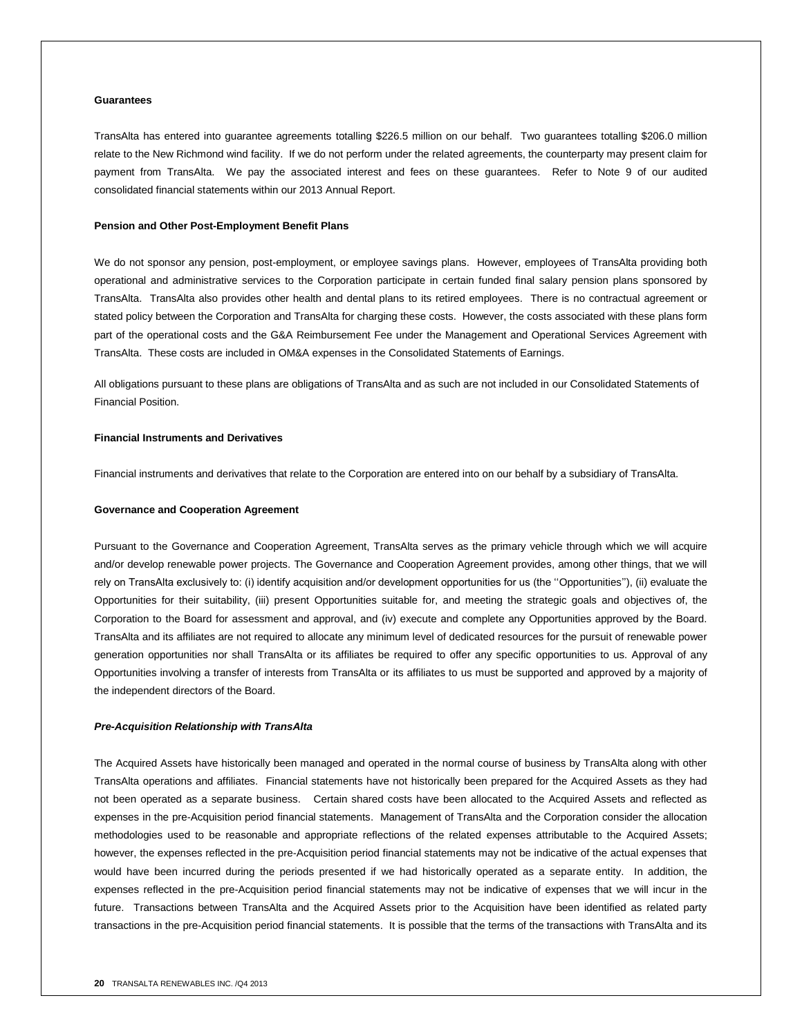#### **Guarantees**

TransAlta has entered into guarantee agreements totalling \$226.5 million on our behalf. Two guarantees totalling \$206.0 million relate to the New Richmond wind facility. If we do not perform under the related agreements, the counterparty may present claim for payment from TransAlta. We pay the associated interest and fees on these guarantees. Refer to Note 9 of our audited consolidated financial statements within our 2013 Annual Report.

#### **Pension and Other Post-Employment Benefit Plans**

We do not sponsor any pension, post-employment, or employee savings plans. However, employees of TransAlta providing both operational and administrative services to the Corporation participate in certain funded final salary pension plans sponsored by TransAlta. TransAlta also provides other health and dental plans to its retired employees. There is no contractual agreement or stated policy between the Corporation and TransAlta for charging these costs. However, the costs associated with these plans form part of the operational costs and the G&A Reimbursement Fee under the Management and Operational Services Agreement with TransAlta. These costs are included in OM&A expenses in the Consolidated Statements of Earnings.

All obligations pursuant to these plans are obligations of TransAlta and as such are not included in our Consolidated Statements of Financial Position.

#### **Financial Instruments and Derivatives**

Financial instruments and derivatives that relate to the Corporation are entered into on our behalf by a subsidiary of TransAlta.

#### **Governance and Cooperation Agreement**

Pursuant to the Governance and Cooperation Agreement, TransAlta serves as the primary vehicle through which we will acquire and/or develop renewable power projects. The Governance and Cooperation Agreement provides, among other things, that we will rely on TransAlta exclusively to: (i) identify acquisition and/or development opportunities for us (the ''Opportunities''), (ii) evaluate the Opportunities for their suitability, (iii) present Opportunities suitable for, and meeting the strategic goals and objectives of, the Corporation to the Board for assessment and approval, and (iv) execute and complete any Opportunities approved by the Board. TransAlta and its affiliates are not required to allocate any minimum level of dedicated resources for the pursuit of renewable power generation opportunities nor shall TransAlta or its affiliates be required to offer any specific opportunities to us. Approval of any Opportunities involving a transfer of interests from TransAlta or its affiliates to us must be supported and approved by a majority of the independent directors of the Board.

#### *Pre-Acquisition Relationship with TransAlta*

The Acquired Assets have historically been managed and operated in the normal course of business by TransAlta along with other TransAlta operations and affiliates. Financial statements have not historically been prepared for the Acquired Assets as they had not been operated as a separate business. Certain shared costs have been allocated to the Acquired Assets and reflected as expenses in the pre-Acquisition period financial statements. Management of TransAlta and the Corporation consider the allocation methodologies used to be reasonable and appropriate reflections of the related expenses attributable to the Acquired Assets; however, the expenses reflected in the pre-Acquisition period financial statements may not be indicative of the actual expenses that would have been incurred during the periods presented if we had historically operated as a separate entity. In addition, the expenses reflected in the pre-Acquisition period financial statements may not be indicative of expenses that we will incur in the future. Transactions between TransAlta and the Acquired Assets prior to the Acquisition have been identified as related party transactions in the pre-Acquisition period financial statements. It is possible that the terms of the transactions with TransAlta and its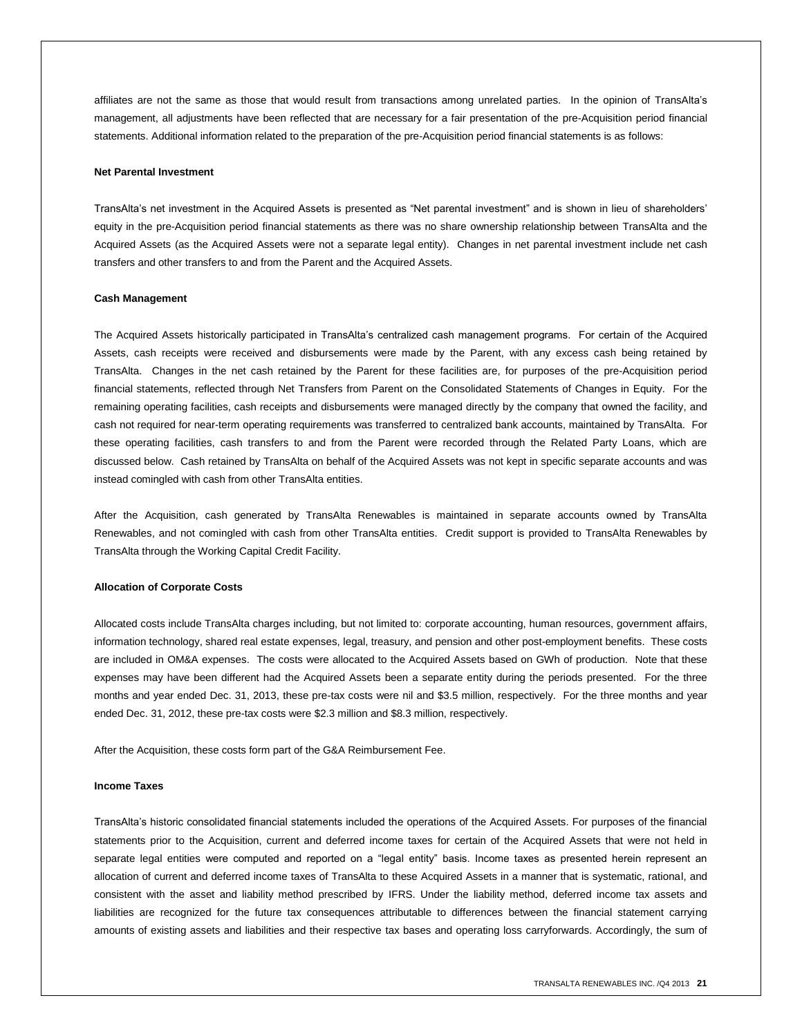affiliates are not the same as those that would result from transactions among unrelated parties. In the opinion of TransAlta's management, all adjustments have been reflected that are necessary for a fair presentation of the pre-Acquisition period financial statements. Additional information related to the preparation of the pre-Acquisition period financial statements is as follows:

#### **Net Parental Investment**

TransAlta's net investment in the Acquired Assets is presented as "Net parental investment" and is shown in lieu of shareholders' equity in the pre-Acquisition period financial statements as there was no share ownership relationship between TransAlta and the Acquired Assets (as the Acquired Assets were not a separate legal entity). Changes in net parental investment include net cash transfers and other transfers to and from the Parent and the Acquired Assets.

#### **Cash Management**

The Acquired Assets historically participated in TransAlta's centralized cash management programs. For certain of the Acquired Assets, cash receipts were received and disbursements were made by the Parent, with any excess cash being retained by TransAlta. Changes in the net cash retained by the Parent for these facilities are, for purposes of the pre-Acquisition period financial statements, reflected through Net Transfers from Parent on the Consolidated Statements of Changes in Equity. For the remaining operating facilities, cash receipts and disbursements were managed directly by the company that owned the facility, and cash not required for near-term operating requirements was transferred to centralized bank accounts, maintained by TransAlta. For these operating facilities, cash transfers to and from the Parent were recorded through the Related Party Loans, which are discussed below. Cash retained by TransAlta on behalf of the Acquired Assets was not kept in specific separate accounts and was instead comingled with cash from other TransAlta entities.

After the Acquisition, cash generated by TransAlta Renewables is maintained in separate accounts owned by TransAlta Renewables, and not comingled with cash from other TransAlta entities. Credit support is provided to TransAlta Renewables by TransAlta through the Working Capital Credit Facility.

#### **Allocation of Corporate Costs**

Allocated costs include TransAlta charges including, but not limited to: corporate accounting, human resources, government affairs, information technology, shared real estate expenses, legal, treasury, and pension and other post-employment benefits. These costs are included in OM&A expenses. The costs were allocated to the Acquired Assets based on GWh of production. Note that these expenses may have been different had the Acquired Assets been a separate entity during the periods presented. For the three months and year ended Dec. 31, 2013, these pre-tax costs were nil and \$3.5 million, respectively. For the three months and year ended Dec. 31, 2012, these pre-tax costs were \$2.3 million and \$8.3 million, respectively.

After the Acquisition, these costs form part of the G&A Reimbursement Fee.

#### **Income Taxes**

TransAlta's historic consolidated financial statements included the operations of the Acquired Assets. For purposes of the financial statements prior to the Acquisition, current and deferred income taxes for certain of the Acquired Assets that were not held in separate legal entities were computed and reported on a "legal entity" basis. Income taxes as presented herein represent an allocation of current and deferred income taxes of TransAlta to these Acquired Assets in a manner that is systematic, rational, and consistent with the asset and liability method prescribed by IFRS. Under the liability method, deferred income tax assets and liabilities are recognized for the future tax consequences attributable to differences between the financial statement carrying amounts of existing assets and liabilities and their respective tax bases and operating loss carryforwards. Accordingly, the sum of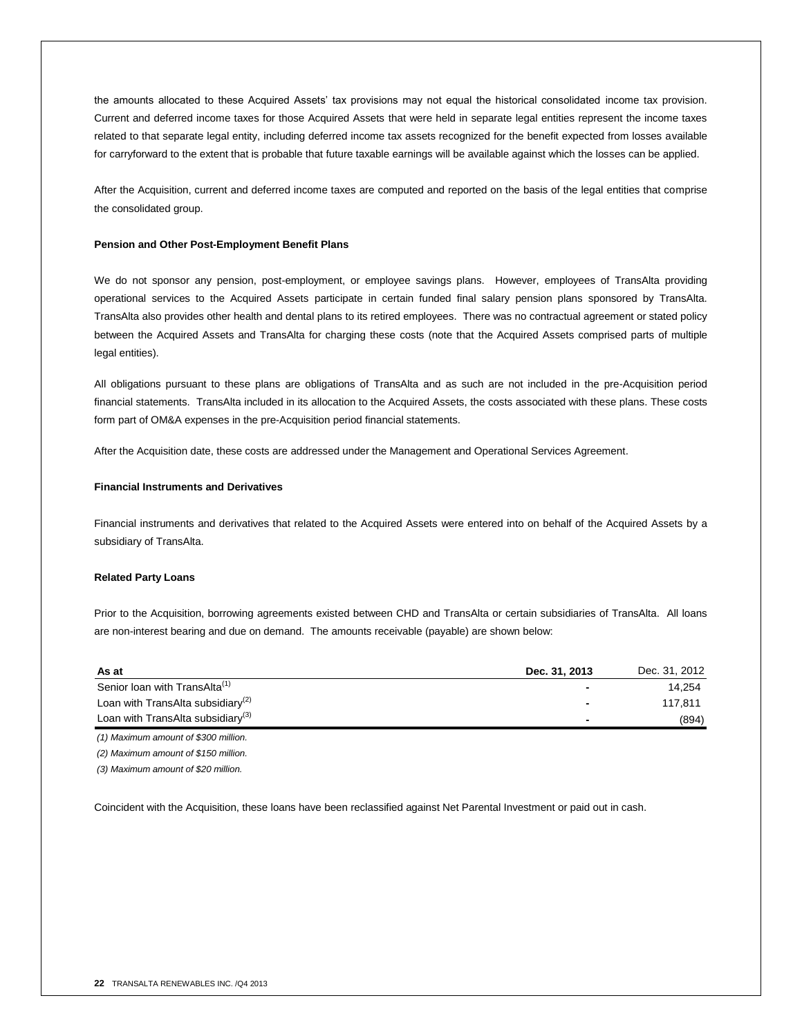the amounts allocated to these Acquired Assets' tax provisions may not equal the historical consolidated income tax provision. Current and deferred income taxes for those Acquired Assets that were held in separate legal entities represent the income taxes related to that separate legal entity, including deferred income tax assets recognized for the benefit expected from losses available for carryforward to the extent that is probable that future taxable earnings will be available against which the losses can be applied.

After the Acquisition, current and deferred income taxes are computed and reported on the basis of the legal entities that comprise the consolidated group.

#### **Pension and Other Post-Employment Benefit Plans**

We do not sponsor any pension, post-employment, or employee savings plans. However, employees of TransAlta providing operational services to the Acquired Assets participate in certain funded final salary pension plans sponsored by TransAlta. TransAlta also provides other health and dental plans to its retired employees. There was no contractual agreement or stated policy between the Acquired Assets and TransAlta for charging these costs (note that the Acquired Assets comprised parts of multiple legal entities).

All obligations pursuant to these plans are obligations of TransAlta and as such are not included in the pre-Acquisition period financial statements. TransAlta included in its allocation to the Acquired Assets, the costs associated with these plans. These costs form part of OM&A expenses in the pre-Acquisition period financial statements.

After the Acquisition date, these costs are addressed under the Management and Operational Services Agreement.

#### **Financial Instruments and Derivatives**

Financial instruments and derivatives that related to the Acquired Assets were entered into on behalf of the Acquired Assets by a subsidiary of TransAlta.

#### **Related Party Loans**

Prior to the Acquisition, borrowing agreements existed between CHD and TransAlta or certain subsidiaries of TransAlta. All loans are non-interest bearing and due on demand. The amounts receivable (payable) are shown below:

| As at                                         | Dec. 31, 2013 | Dec. 31, 2012 |
|-----------------------------------------------|---------------|---------------|
| Senior loan with TransAlta <sup>(1)</sup>     |               | 14.254        |
| Loan with TransAlta subsidiary <sup>(2)</sup> |               | 117.811       |
| Loan with TransAlta subsidiary <sup>(3)</sup> |               | (894)         |

*(1) Maximum amount of \$300 million.*

*(2) Maximum amount of \$150 million.*

*(3) Maximum amount of \$20 million.*

Coincident with the Acquisition, these loans have been reclassified against Net Parental Investment or paid out in cash.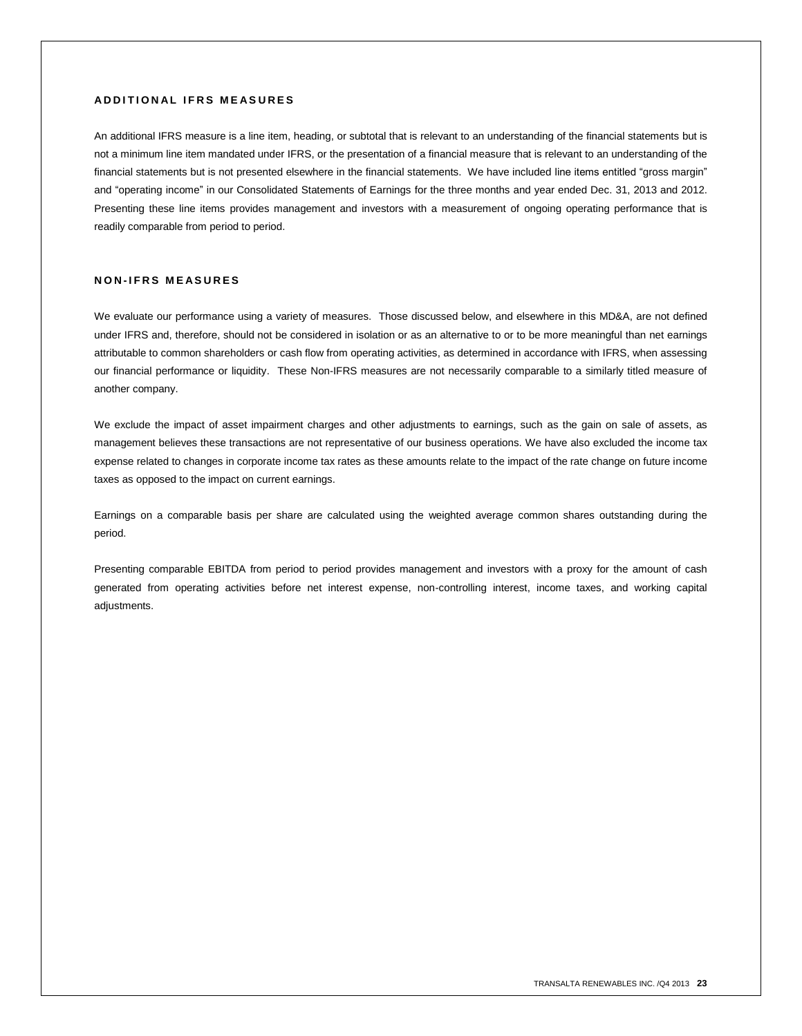# **A D D I T I O N A L I F R S M E A S U R E S**

An additional IFRS measure is a line item, heading, or subtotal that is relevant to an understanding of the financial statements but is not a minimum line item mandated under IFRS, or the presentation of a financial measure that is relevant to an understanding of the financial statements but is not presented elsewhere in the financial statements. We have included line items entitled "gross margin" and "operating income" in our Consolidated Statements of Earnings for the three months and year ended Dec. 31, 2013 and 2012. Presenting these line items provides management and investors with a measurement of ongoing operating performance that is readily comparable from period to period.

# **N O N - I F R S M E A S U R E S**

We evaluate our performance using a variety of measures. Those discussed below, and elsewhere in this MD&A, are not defined under IFRS and, therefore, should not be considered in isolation or as an alternative to or to be more meaningful than net earnings attributable to common shareholders or cash flow from operating activities, as determined in accordance with IFRS, when assessing our financial performance or liquidity. These Non-IFRS measures are not necessarily comparable to a similarly titled measure of another company.

We exclude the impact of asset impairment charges and other adjustments to earnings, such as the gain on sale of assets, as management believes these transactions are not representative of our business operations. We have also excluded the income tax expense related to changes in corporate income tax rates as these amounts relate to the impact of the rate change on future income taxes as opposed to the impact on current earnings.

Earnings on a comparable basis per share are calculated using the weighted average common shares outstanding during the period.

Presenting comparable EBITDA from period to period provides management and investors with a proxy for the amount of cash generated from operating activities before net interest expense, non-controlling interest, income taxes, and working capital adjustments.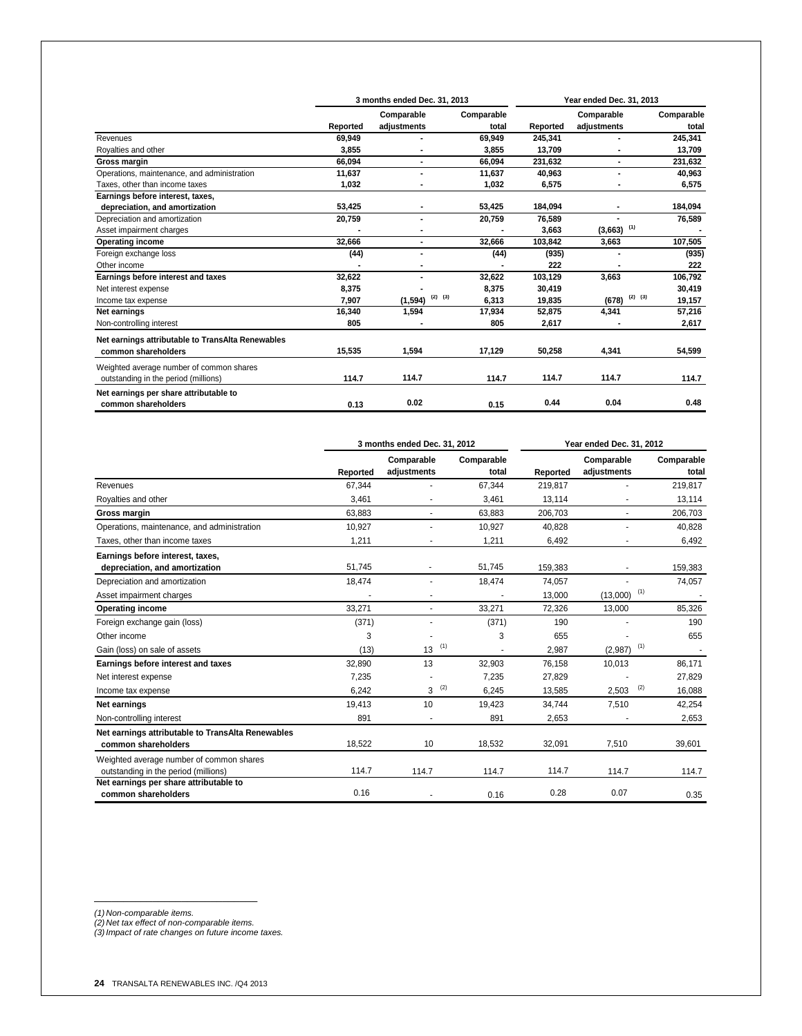|                                                   |          | 3 months ended Dec. 31, 2013 | Year ended Dec. 31, 2013 |          |                          |                       |
|---------------------------------------------------|----------|------------------------------|--------------------------|----------|--------------------------|-----------------------|
|                                                   |          | Comparable                   | Comparable               |          | Comparable               | Comparable            |
|                                                   | Reported | adjustments                  | total                    | Reported | adjustments              | total                 |
| Revenues                                          | 69,949   |                              | 69,949                   | 245,341  |                          | 245,341               |
| Royalties and other                               | 3.855    |                              | 3,855                    | 13,709   |                          | 13,709                |
| Gross margin                                      | 66.094   |                              | 66,094                   | 231,632  |                          | 231,632               |
| Operations, maintenance, and administration       | 11,637   |                              | 11,637                   | 40,963   |                          | 40,963                |
| Taxes, other than income taxes                    | 1,032    |                              | 1,032                    | 6,575    |                          | 6,575                 |
| Earnings before interest, taxes,                  |          |                              |                          |          |                          |                       |
| depreciation, and amortization                    | 53,425   |                              | 53,425                   | 184,094  |                          | 184,094               |
| Depreciation and amortization                     | 20,759   | $\blacksquare$               | 20,759                   | 76,589   |                          | 76,589                |
| Asset impairment charges                          |          |                              |                          | 3,663    | $(3,663)$ <sup>(1)</sup> |                       |
| <b>Operating income</b>                           | 32,666   |                              | 32,666                   | 103,842  | 3,663                    | 107,505               |
| Foreign exchange loss                             | (44)     |                              | (44)                     | (935)    |                          | (935)                 |
| Other income                                      |          |                              |                          | 222      |                          | 222                   |
| Earnings before interest and taxes                | 32,622   |                              | 32,622                   | 103,129  | 3,663                    | 106,792               |
| Net interest expense                              | 8,375    |                              | 8,375                    | 30,419   |                          | 30,419                |
| Income tax expense                                | 7.907    | $(2)$ $(3)$<br>(1,594)       | 6,313                    | 19,835   | (678)                    | $(2)$ $(3)$<br>19,157 |
| Net earnings                                      | 16,340   | 1,594                        | 17,934                   | 52,875   | 4,341                    | 57,216                |
| Non-controlling interest                          | 805      |                              | 805                      | 2,617    |                          | 2,617                 |
| Net earnings attributable to TransAlta Renewables |          |                              |                          |          |                          |                       |
| common shareholders                               | 15,535   | 1,594                        | 17,129                   | 50,258   | 4,341                    | 54,599                |
| Weighted average number of common shares          |          |                              |                          |          |                          |                       |
| outstanding in the period (millions)              | 114.7    | 114.7                        | 114.7                    | 114.7    | 114.7                    | 114.7                 |
| Net earnings per share attributable to            |          |                              |                          |          |                          |                       |
| common shareholders                               | 0.13     | 0.02                         | 0.15                     | 0.44     | 0.04                     | 0.48                  |

|                                                                                  | 3 months ended Dec. 31, 2012 |                           |                     | Year ended Dec. 31, 2012 |                           |                     |
|----------------------------------------------------------------------------------|------------------------------|---------------------------|---------------------|--------------------------|---------------------------|---------------------|
|                                                                                  | Reported                     | Comparable<br>adjustments | Comparable<br>total | Reported                 | Comparable<br>adjustments | Comparable<br>total |
| Revenues                                                                         | 67,344                       |                           | 67,344              | 219,817                  |                           | 219,817             |
| Royalties and other                                                              | 3,461                        | ٠                         | 3,461               | 13,114                   |                           | 13,114              |
| Gross margin                                                                     | 63,883                       |                           | 63,883              | 206,703                  |                           | 206,703             |
| Operations, maintenance, and administration                                      | 10,927                       |                           | 10,927              | 40.828                   |                           | 40,828              |
| Taxes, other than income taxes                                                   | 1,211                        |                           | 1,211               | 6,492                    |                           | 6,492               |
| Earnings before interest, taxes,                                                 |                              |                           |                     |                          |                           |                     |
| depreciation, and amortization                                                   | 51.745                       |                           | 51,745              | 159,383                  |                           | 159,383             |
| Depreciation and amortization                                                    | 18,474                       |                           | 18,474              | 74,057                   |                           | 74,057              |
| Asset impairment charges                                                         |                              |                           |                     | 13,000                   | (1)<br>(13,000)           |                     |
| <b>Operating income</b>                                                          | 33,271                       |                           | 33,271              | 72,326                   | 13.000                    | 85,326              |
| Foreign exchange gain (loss)                                                     | (371)                        |                           | (371)               | 190                      |                           | 190                 |
| Other income                                                                     | 3                            |                           | 3                   | 655                      |                           | 655                 |
| Gain (loss) on sale of assets                                                    | (13)                         | (1)<br>13                 |                     | 2.987                    | (1)<br>(2,987)            |                     |
| Earnings before interest and taxes                                               | 32,890                       | 13                        | 32,903              | 76,158                   | 10,013                    | 86,171              |
| Net interest expense                                                             | 7,235                        |                           | 7,235               | 27,829                   |                           | 27,829              |
| Income tax expense                                                               | 6.242                        | (2)<br>3                  | 6.245               | 13.585                   | (2)<br>2,503              | 16,088              |
| Net earnings                                                                     | 19,413                       | 10                        | 19,423              | 34,744                   | 7,510                     | 42,254              |
| Non-controlling interest                                                         | 891                          |                           | 891                 | 2,653                    |                           | 2,653               |
| Net earnings attributable to TransAlta Renewables<br>common shareholders         | 18.522                       | 10                        | 18,532              | 32.091                   | 7,510                     | 39,601              |
| Weighted average number of common shares<br>outstanding in the period (millions) | 114.7                        | 114.7                     | 114.7               | 114.7                    | 114.7                     | 114.7               |
| Net earnings per share attributable to<br>common shareholders                    | 0.16                         |                           | 0.16                | 0.28                     | 0.07                      | 0.35                |

\_\_\_\_\_\_\_\_\_\_\_\_\_\_\_\_\_\_\_\_\_\_\_\_\_\_\_\_

*(1) Non-comparable items. (2) Net tax effect of non-comparable items. (3)Impact of rate changes on future income taxes.*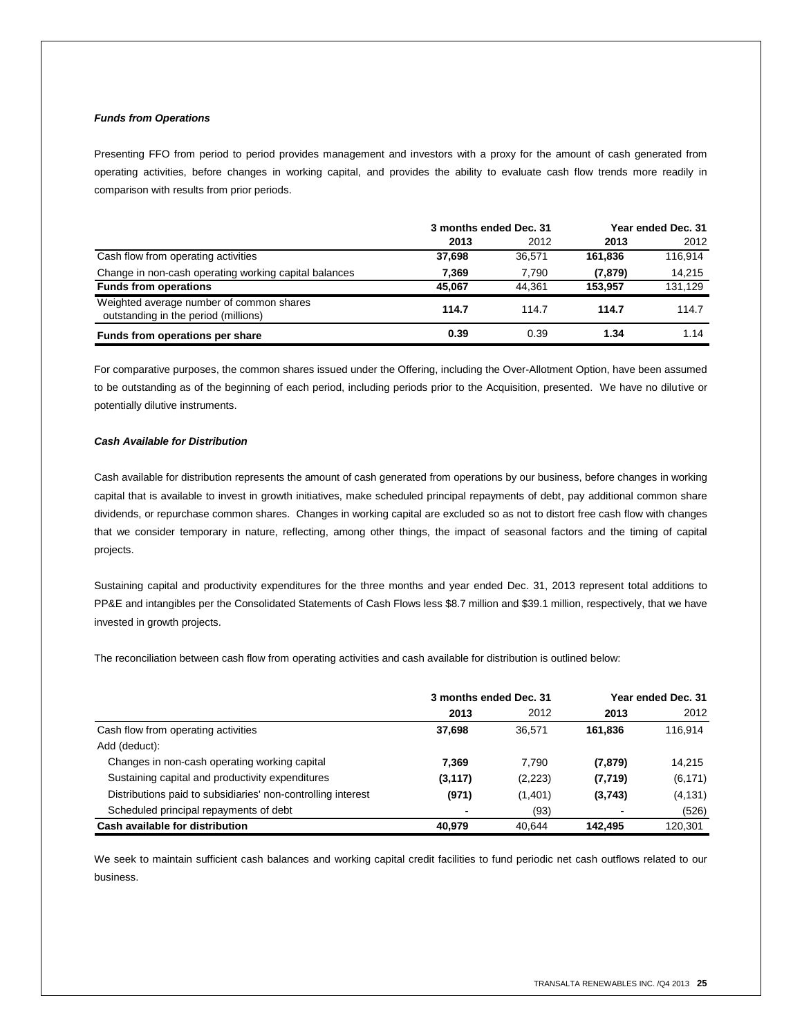#### *Funds from Operations*

Presenting FFO from period to period provides management and investors with a proxy for the amount of cash generated from operating activities, before changes in working capital, and provides the ability to evaluate cash flow trends more readily in comparison with results from prior periods.

|                                                                                  | 3 months ended Dec. 31 |        | Year ended Dec. 31 |         |  |
|----------------------------------------------------------------------------------|------------------------|--------|--------------------|---------|--|
|                                                                                  | 2013                   | 2012   | 2013               | 2012    |  |
| Cash flow from operating activities                                              | 37,698                 | 36.571 | 161.836            | 116.914 |  |
| Change in non-cash operating working capital balances                            | 7.369                  | 7.790  | (7, 879)           | 14,215  |  |
| <b>Funds from operations</b>                                                     | 45.067                 | 44.361 | 153.957            | 131.129 |  |
| Weighted average number of common shares<br>outstanding in the period (millions) | 114.7                  | 114.7  | 114.7              | 114.7   |  |
| Funds from operations per share                                                  | 0.39                   | 0.39   | 1.34               | 1.14    |  |

For comparative purposes, the common shares issued under the Offering, including the Over-Allotment Option, have been assumed to be outstanding as of the beginning of each period, including periods prior to the Acquisition, presented. We have no dilutive or potentially dilutive instruments.

#### *Cash Available for Distribution*

Cash available for distribution represents the amount of cash generated from operations by our business, before changes in working capital that is available to invest in growth initiatives, make scheduled principal repayments of debt, pay additional common share dividends, or repurchase common shares. Changes in working capital are excluded so as not to distort free cash flow with changes that we consider temporary in nature, reflecting, among other things, the impact of seasonal factors and the timing of capital projects.

Sustaining capital and productivity expenditures for the three months and year ended Dec. 31, 2013 represent total additions to PP&E and intangibles per the Consolidated Statements of Cash Flows less \$8.7 million and \$39.1 million, respectively, that we have invested in growth projects.

The reconciliation between cash flow from operating activities and cash available for distribution is outlined below:

|                                                              | 3 months ended Dec. 31 |         |          | Year ended Dec. 31 |
|--------------------------------------------------------------|------------------------|---------|----------|--------------------|
|                                                              | 2013                   | 2012    | 2013     | 2012               |
| Cash flow from operating activities                          | 37.698                 | 36.571  | 161.836  | 116.914            |
| Add (deduct):                                                |                        |         |          |                    |
| Changes in non-cash operating working capital                | 7.369                  | 7.790   | (7, 879) | 14,215             |
| Sustaining capital and productivity expenditures             | (3, 117)               | (2,223) | (7, 719) | (6, 171)           |
| Distributions paid to subsidiaries' non-controlling interest | (971)                  | (1,401) | (3,743)  | (4, 131)           |
| Scheduled principal repayments of debt                       |                        | (93)    |          | (526)              |
| Cash available for distribution                              | 40.979                 | 40.644  | 142.495  | 120.301            |

We seek to maintain sufficient cash balances and working capital credit facilities to fund periodic net cash outflows related to our business.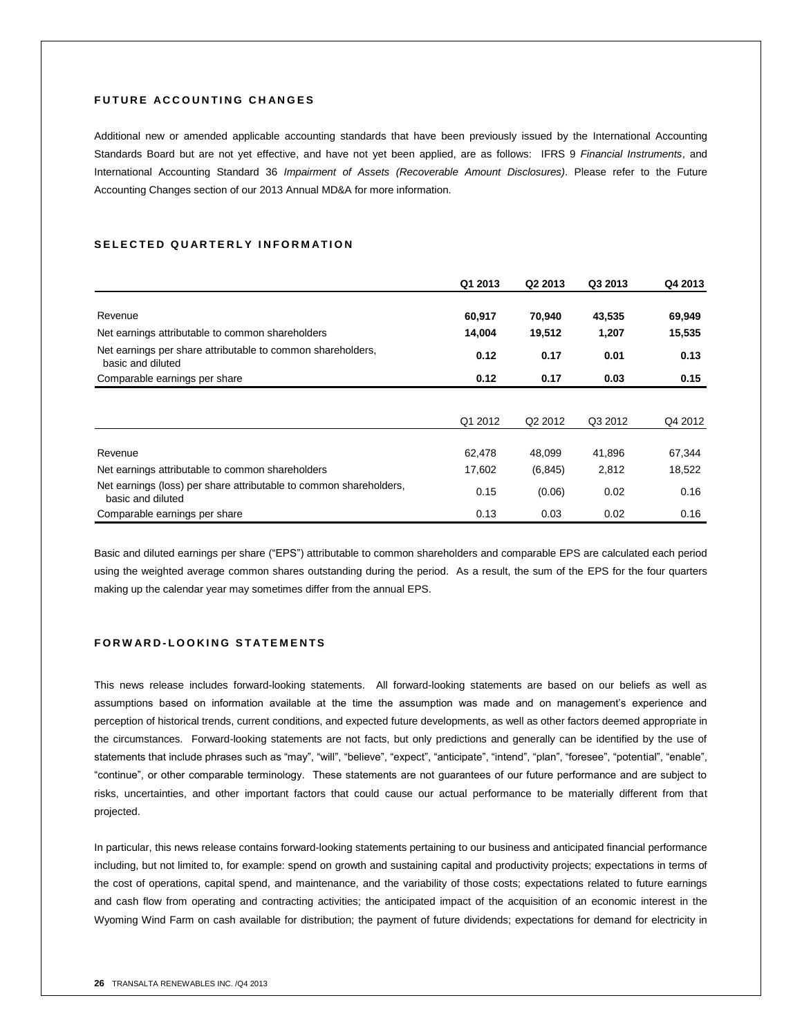# **FUTURE ACCOUNTING CHANGES**

Additional new or amended applicable accounting standards that have been previously issued by the International Accounting Standards Board but are not yet effective, and have not yet been applied, are as follows: IFRS 9 *Financial Instruments*, and International Accounting Standard 36 *Impairment of Assets (Recoverable Amount Disclosures)*. Please refer to the Future Accounting Changes section of our 2013 Annual MD&A for more information.

# SELECTED QUARTERLY INFORMATION

|                                                                                         | Q1 2013 | Q2 2013             | Q3 2013 | Q4 2013 |
|-----------------------------------------------------------------------------------------|---------|---------------------|---------|---------|
|                                                                                         |         |                     |         |         |
| Revenue                                                                                 | 60,917  | 70,940              | 43,535  | 69,949  |
| Net earnings attributable to common shareholders                                        | 14,004  | 19,512              | 1,207   | 15,535  |
| Net earnings per share attributable to common shareholders,<br>basic and diluted        | 0.12    | 0.17                | 0.01    | 0.13    |
| Comparable earnings per share                                                           | 0.12    | 0.17                | 0.03    | 0.15    |
|                                                                                         |         |                     |         |         |
|                                                                                         | Q1 2012 | Q <sub>2</sub> 2012 | Q3 2012 | Q4 2012 |
|                                                                                         |         |                     |         |         |
| Revenue                                                                                 | 62,478  | 48,099              | 41,896  | 67,344  |
| Net earnings attributable to common shareholders                                        | 17,602  | (6, 845)            | 2,812   | 18,522  |
| Net earnings (loss) per share attributable to common shareholders,<br>basic and diluted | 0.15    | (0.06)              | 0.02    | 0.16    |
| Comparable earnings per share                                                           | 0.13    | 0.03                | 0.02    | 0.16    |

Basic and diluted earnings per share ("EPS") attributable to common shareholders and comparable EPS are calculated each period using the weighted average common shares outstanding during the period. As a result, the sum of the EPS for the four quarters making up the calendar year may sometimes differ from the annual EPS.

# **F O R W A R D - L O O K I N G S T A T E M E N T S**

This news release includes forward-looking statements. All forward-looking statements are based on our beliefs as well as assumptions based on information available at the time the assumption was made and on management's experience and perception of historical trends, current conditions, and expected future developments, as well as other factors deemed appropriate in the circumstances. Forward-looking statements are not facts, but only predictions and generally can be identified by the use of statements that include phrases such as "may", "will", "believe", "expect", "anticipate", "intend", "plan", "foresee", "potential", "enable", "continue", or other comparable terminology. These statements are not guarantees of our future performance and are subject to risks, uncertainties, and other important factors that could cause our actual performance to be materially different from that projected.

In particular, this news release contains forward-looking statements pertaining to our business and anticipated financial performance including, but not limited to, for example: spend on growth and sustaining capital and productivity projects; expectations in terms of the cost of operations, capital spend, and maintenance, and the variability of those costs; expectations related to future earnings and cash flow from operating and contracting activities; the anticipated impact of the acquisition of an economic interest in the Wyoming Wind Farm on cash available for distribution; the payment of future dividends; expectations for demand for electricity in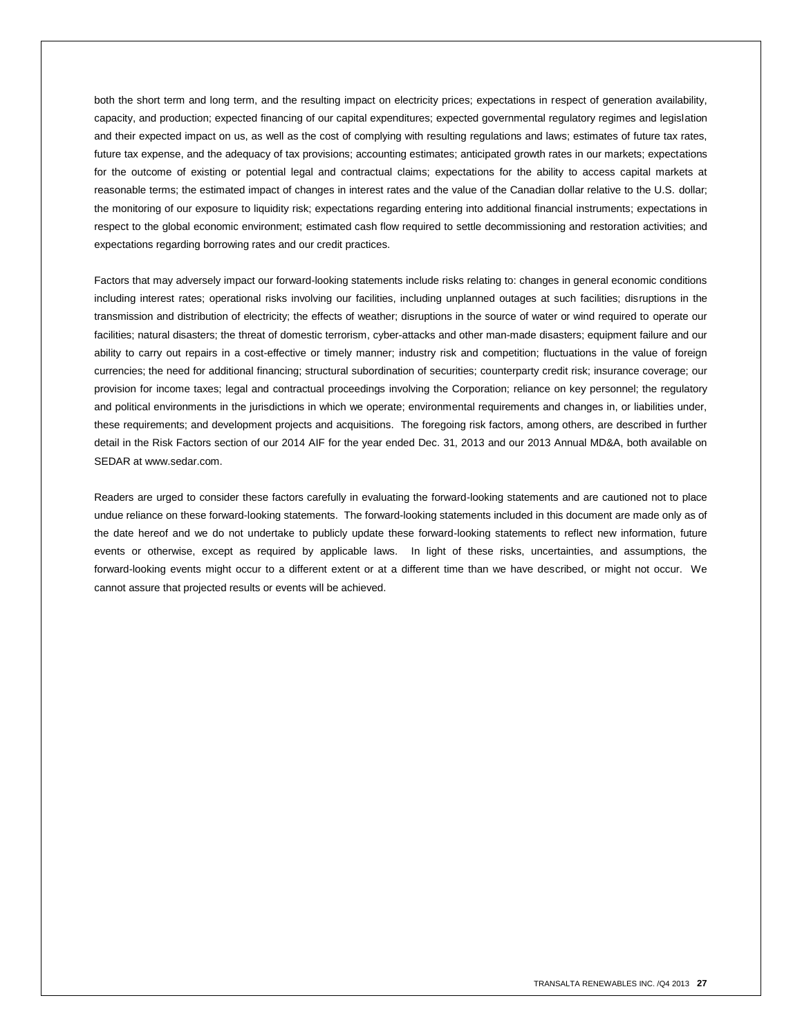both the short term and long term, and the resulting impact on electricity prices; expectations in respect of generation availability, capacity, and production; expected financing of our capital expenditures; expected governmental regulatory regimes and legislation and their expected impact on us, as well as the cost of complying with resulting regulations and laws; estimates of future tax rates, future tax expense, and the adequacy of tax provisions; accounting estimates; anticipated growth rates in our markets; expectations for the outcome of existing or potential legal and contractual claims; expectations for the ability to access capital markets at reasonable terms; the estimated impact of changes in interest rates and the value of the Canadian dollar relative to the U.S. dollar; the monitoring of our exposure to liquidity risk; expectations regarding entering into additional financial instruments; expectations in respect to the global economic environment; estimated cash flow required to settle decommissioning and restoration activities; and expectations regarding borrowing rates and our credit practices.

Factors that may adversely impact our forward-looking statements include risks relating to: changes in general economic conditions including interest rates; operational risks involving our facilities, including unplanned outages at such facilities; disruptions in the transmission and distribution of electricity; the effects of weather; disruptions in the source of water or wind required to operate our facilities; natural disasters; the threat of domestic terrorism, cyber-attacks and other man-made disasters; equipment failure and our ability to carry out repairs in a cost-effective or timely manner; industry risk and competition; fluctuations in the value of foreign currencies; the need for additional financing; structural subordination of securities; counterparty credit risk; insurance coverage; our provision for income taxes; legal and contractual proceedings involving the Corporation; reliance on key personnel; the regulatory and political environments in the jurisdictions in which we operate; environmental requirements and changes in, or liabilities under, these requirements; and development projects and acquisitions. The foregoing risk factors, among others, are described in further detail in the Risk Factors section of our 2014 AIF for the year ended Dec. 31, 2013 and our 2013 Annual MD&A, both available on SEDAR at www.sedar.com.

Readers are urged to consider these factors carefully in evaluating the forward-looking statements and are cautioned not to place undue reliance on these forward-looking statements. The forward-looking statements included in this document are made only as of the date hereof and we do not undertake to publicly update these forward-looking statements to reflect new information, future events or otherwise, except as required by applicable laws. In light of these risks, uncertainties, and assumptions, the forward-looking events might occur to a different extent or at a different time than we have described, or might not occur. We cannot assure that projected results or events will be achieved.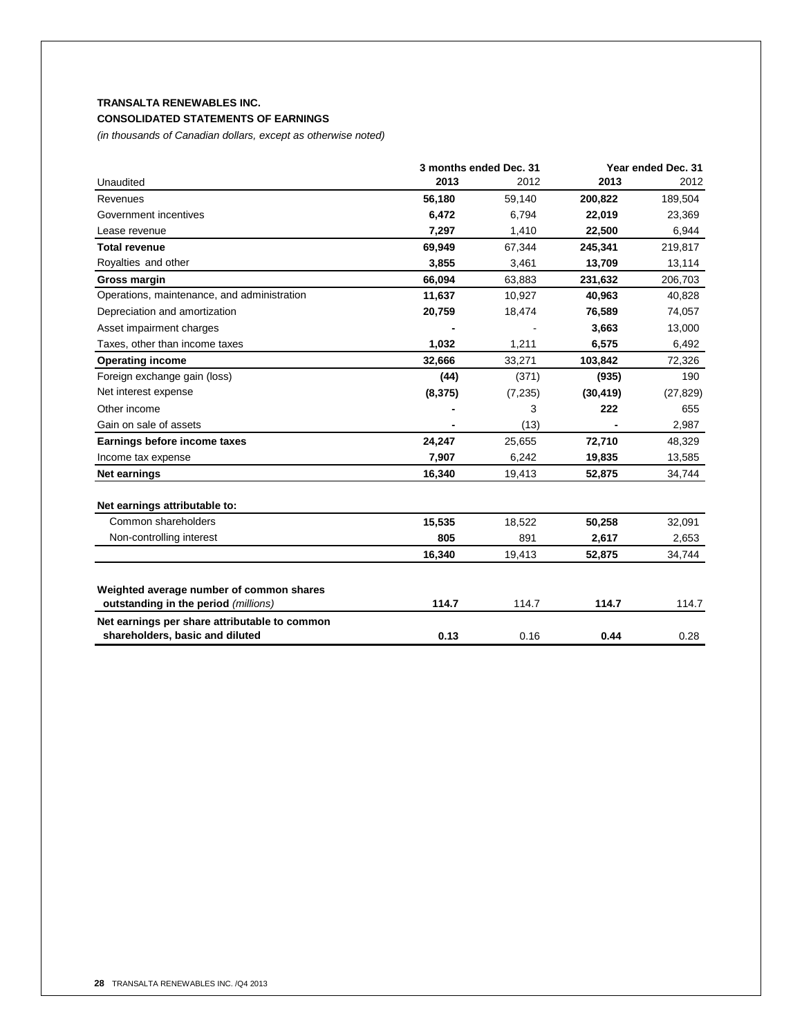# **TRANSALTA RENEWABLES INC. CONSOLIDATED STATEMENTS OF EARNINGS**

*(in thousands of Canadian dollars, except as otherwise noted)*

|                                               | 3 months ended Dec. 31 |          | Year ended Dec. 31 |           |
|-----------------------------------------------|------------------------|----------|--------------------|-----------|
| Unaudited                                     | 2013                   | 2012     | 2013               | 2012      |
| Revenues                                      | 56,180                 | 59,140   | 200,822            | 189,504   |
| Government incentives                         | 6,472                  | 6.794    | 22,019             | 23,369    |
| Lease revenue                                 | 7,297                  | 1,410    | 22,500             | 6,944     |
| <b>Total revenue</b>                          | 69,949                 | 67,344   | 245,341            | 219,817   |
| Royalties and other                           | 3,855                  | 3,461    | 13,709             | 13,114    |
| Gross margin                                  | 66.094                 | 63.883   | 231,632            | 206,703   |
| Operations, maintenance, and administration   | 11,637                 | 10,927   | 40,963             | 40,828    |
| Depreciation and amortization                 | 20,759                 | 18,474   | 76,589             | 74,057    |
| Asset impairment charges                      |                        |          | 3,663              | 13,000    |
| Taxes, other than income taxes                | 1,032                  | 1,211    | 6,575              | 6,492     |
| <b>Operating income</b>                       | 32,666                 | 33,271   | 103,842            | 72,326    |
| Foreign exchange gain (loss)                  | (44)                   | (371)    | (935)              | 190       |
| Net interest expense                          | (8, 375)               | (7, 235) | (30, 419)          | (27, 829) |
| Other income                                  |                        | 3        | 222                | 655       |
| Gain on sale of assets                        |                        | (13)     |                    | 2,987     |
| Earnings before income taxes                  | 24,247                 | 25,655   | 72,710             | 48,329    |
| Income tax expense                            | 7,907                  | 6,242    | 19,835             | 13,585    |
| Net earnings                                  | 16,340                 | 19,413   | 52,875             | 34,744    |
| Net earnings attributable to:                 |                        |          |                    |           |
| Common shareholders                           | 15,535                 | 18,522   | 50,258             | 32,091    |
| Non-controlling interest                      | 805                    | 891      | 2,617              | 2,653     |
|                                               | 16,340                 | 19,413   | 52,875             | 34,744    |
| Weighted average number of common shares      |                        |          |                    |           |
| outstanding in the period (millions)          | 114.7                  | 114.7    | 114.7              | 114.7     |
| Net earnings per share attributable to common |                        |          |                    |           |
| shareholders, basic and diluted               | 0.13                   | 0.16     | 0.44               | 0.28      |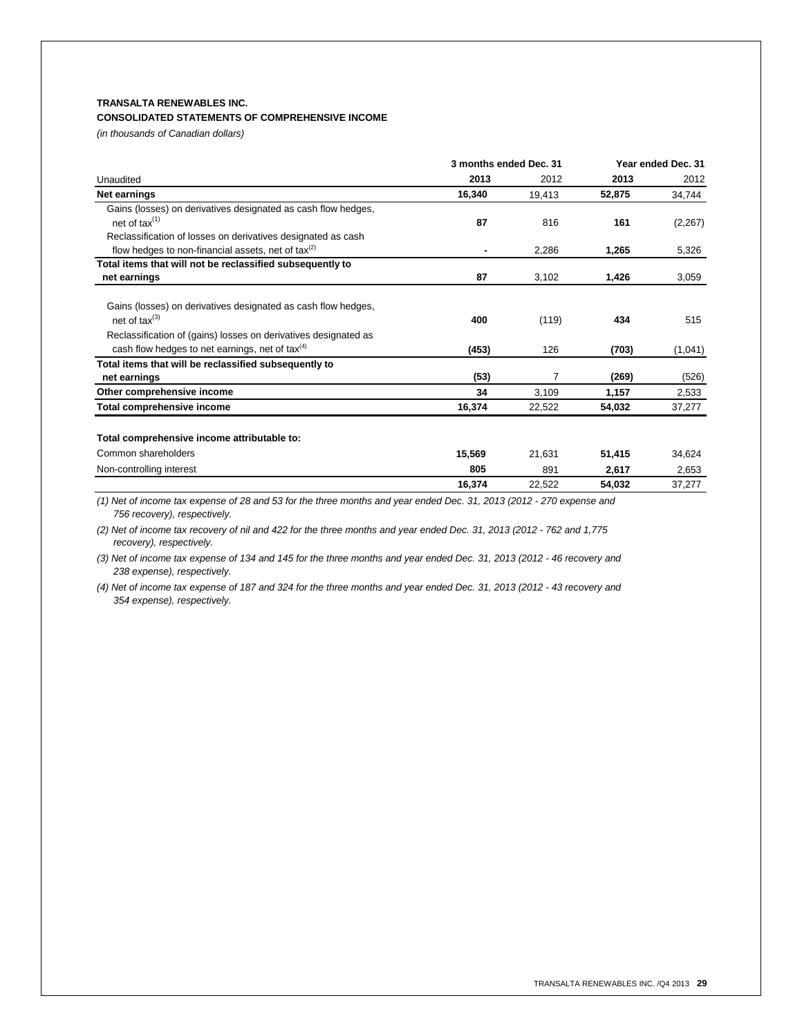# **TRANSALTA RENEWABLES INC.**

# **CONSOLIDATED STATEMENTS OF COMPREHENSIVE INCOME**

*(in thousands of Canadian dollars)*

|                                                                                            | 3 months ended Dec. 31 |        | Year ended Dec. 31 |          |
|--------------------------------------------------------------------------------------------|------------------------|--------|--------------------|----------|
| Unaudited                                                                                  | 2013                   | 2012   | 2013               | 2012     |
| Net earnings                                                                               | 16,340                 | 19,413 | 52,875             | 34,744   |
| Gains (losses) on derivatives designated as cash flow hedges,                              |                        |        |                    |          |
| net of tax(1)                                                                              | 87                     | 816    | 161                | (2, 267) |
| Reclassification of losses on derivatives designated as cash                               |                        |        |                    |          |
| flow hedges to non-financial assets, net of $\text{tax}^{(2)}$                             | ۰                      | 2.286  | 1.265              | 5,326    |
| Total items that will not be reclassified subsequently to                                  |                        |        |                    |          |
| net earnings                                                                               | 87                     | 3,102  | 1,426              | 3,059    |
| Gains (losses) on derivatives designated as cash flow hedges,<br>net of $\text{tax}^{(3)}$ | 400                    | (119)  | 434                | 515      |
| Reclassification of (gains) losses on derivatives designated as                            |                        |        |                    |          |
| cash flow hedges to net earnings, net of tax $(4)$                                         | (453)                  | 126    | (703)              | (1,041)  |
| Total items that will be reclassified subsequently to                                      |                        |        |                    |          |
| net earnings                                                                               | (53)                   | 7      | (269)              | (526)    |
| Other comprehensive income                                                                 | 34                     | 3,109  | 1,157              | 2,533    |
| Total comprehensive income                                                                 | 16,374                 | 22,522 | 54,032             | 37,277   |
| Total comprehensive income attributable to:                                                |                        |        |                    |          |
| Common shareholders                                                                        | 15,569                 | 21.631 | 51,415             | 34,624   |
| Non-controlling interest                                                                   | 805                    | 891    | 2,617              | 2,653    |
|                                                                                            | 16,374                 | 22,522 | 54.032             | 37,277   |

*(1) Net of income tax expense of 28 and 53 for the three months and year ended Dec. 31, 2013 (2012 - 270 expense and 756 recovery), respectively.*

*(2) Net of income tax recovery of nil and 422 for the three months and year ended Dec. 31, 2013 (2012 - 762 and 1,775 recovery), respectively.*

*(3) Net of income tax expense of 134 and 145 for the three months and year ended Dec. 31, 2013 (2012 - 46 recovery and 238 expense), respectively.*

*(4) Net of income tax expense of 187 and 324 for the three months and year ended Dec. 31, 2013 (2012 - 43 recovery and 354 expense), respectively.*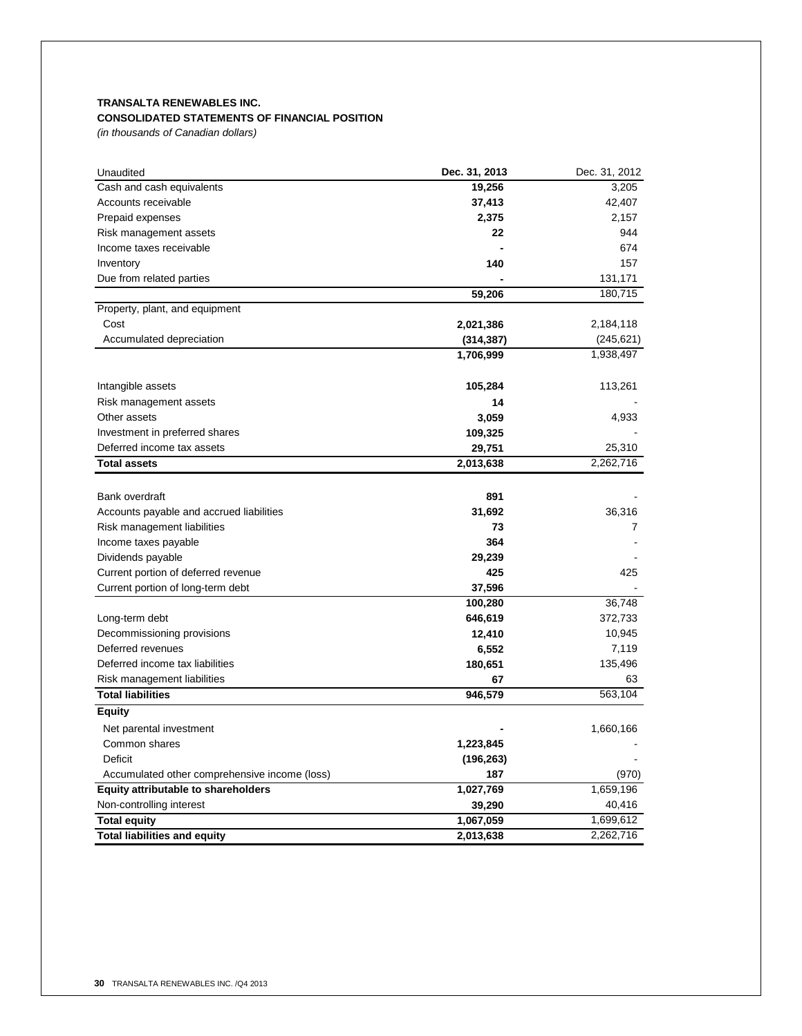# **TRANSALTA RENEWABLES INC. CONSOLIDATED STATEMENTS OF FINANCIAL POSITION**

*(in thousands of Canadian dollars)*

| Unaudited                                     | Dec. 31, 2013 | Dec. 31, 2012 |
|-----------------------------------------------|---------------|---------------|
| Cash and cash equivalents                     | 19,256        | 3,205         |
| Accounts receivable                           | 37,413        | 42,407        |
| Prepaid expenses                              | 2,375         | 2,157         |
| Risk management assets                        | 22            | 944           |
| Income taxes receivable                       |               | 674           |
| Inventory                                     | 140           | 157           |
| Due from related parties                      |               | 131,171       |
|                                               | 59,206        | 180,715       |
| Property, plant, and equipment                |               |               |
| Cost                                          | 2,021,386     | 2,184,118     |
| Accumulated depreciation                      | (314, 387)    | (245, 621)    |
|                                               | 1,706,999     | 1,938,497     |
| Intangible assets                             | 105,284       | 113,261       |
| Risk management assets                        | 14            |               |
| Other assets                                  | 3,059         | 4,933         |
| Investment in preferred shares                | 109,325       |               |
| Deferred income tax assets                    | 29,751        | 25,310        |
| <b>Total assets</b>                           | 2,013,638     | 2,262,716     |
|                                               |               |               |
| Bank overdraft                                | 891           |               |
| Accounts payable and accrued liabilities      | 31,692        | 36,316        |
| Risk management liabilities                   | 73            | 7             |
| Income taxes payable                          | 364           |               |
| Dividends payable                             | 29,239        |               |
| Current portion of deferred revenue           | 425           | 425           |
| Current portion of long-term debt             | 37,596        |               |
|                                               | 100,280       | 36,748        |
| Long-term debt                                | 646,619       | 372,733       |
| Decommissioning provisions                    | 12,410        | 10,945        |
| Deferred revenues                             | 6,552         | 7,119         |
| Deferred income tax liabilities               | 180,651       | 135,496       |
| Risk management liabilities                   | 67            | 63            |
| <b>Total liabilities</b>                      | 946,579       | 563,104       |
| <b>Equity</b>                                 |               |               |
| Net parental investment                       |               | 1,660,166     |
| Common shares                                 | 1,223,845     |               |
| Deficit                                       | (196, 263)    |               |
| Accumulated other comprehensive income (loss) | 187           | (970)         |
| Equity attributable to shareholders           | 1,027,769     | 1,659,196     |
| Non-controlling interest                      | 39,290        | 40,416        |
| <b>Total equity</b>                           | 1,067,059     | 1,699,612     |
| <b>Total liabilities and equity</b>           | 2,013,638     | 2,262,716     |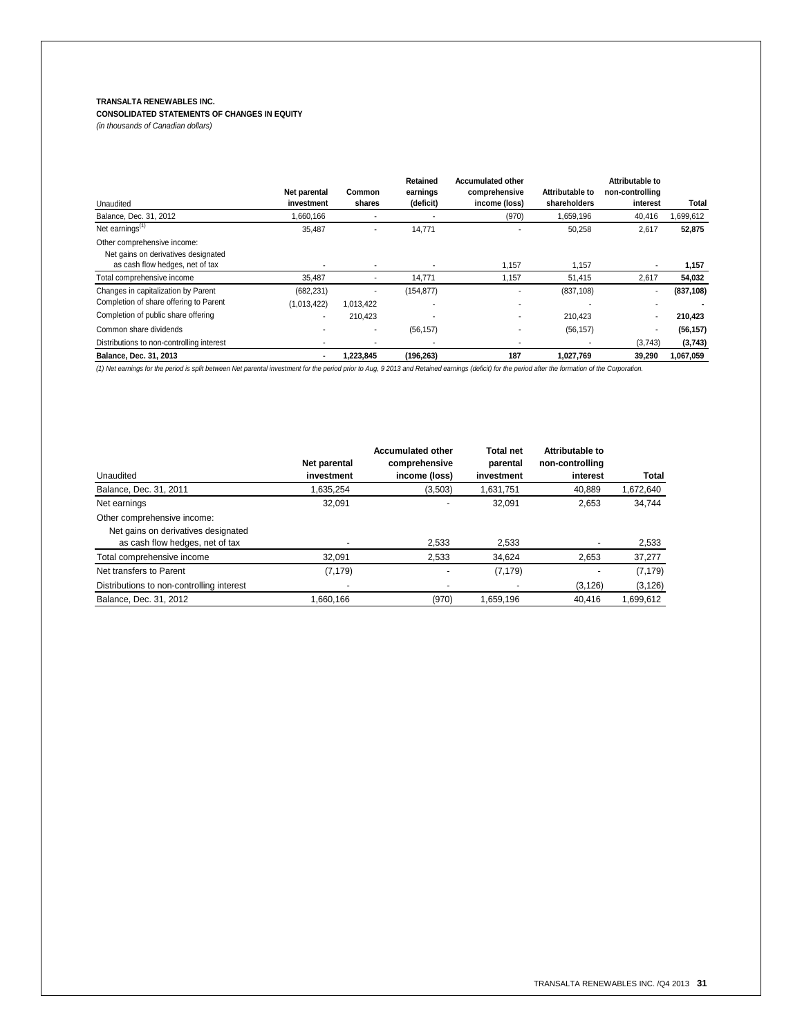# **TRANSALTA RENEWABLES INC.**

# **CONSOLIDATED STATEMENTS OF CHANGES IN EQUITY**

*(in thousands of Canadian dollars)*

|                                           |              |               | Retained   | <b>Accumulated other</b> |                 | Attributable to |            |
|-------------------------------------------|--------------|---------------|------------|--------------------------|-----------------|-----------------|------------|
|                                           | Net parental | <b>Common</b> | earnings   | comprehensive            | Attributable to | non-controlling |            |
| Unaudited                                 | investment   | shares        | (deficit)  | income (loss)            | shareholders    | interest        | Total      |
| Balance, Dec. 31, 2012                    | 1.660.166    |               |            | (970)                    | 1.659.196       | 40,416          | 1,699,612  |
| Net earnings <sup>(1)</sup>               | 35,487       |               | 14,771     |                          | 50,258          | 2,617           | 52,875     |
| Other comprehensive income:               |              |               |            |                          |                 |                 |            |
| Net gains on derivatives designated       |              |               |            |                          |                 |                 |            |
| as cash flow hedges, net of tax           |              |               |            | 1.157                    | 1.157           | ٠               | 1,157      |
| Total comprehensive income                | 35.487       |               | 14.771     | 1,157                    | 51,415          | 2.617           | 54,032     |
| Changes in capitalization by Parent       | (682, 231)   |               | (154, 877) |                          | (837, 108)      |                 | (837, 108) |
| Completion of share offering to Parent    | (1,013,422)  | 1.013.422     |            |                          |                 | ٠               |            |
| Completion of public share offering       |              | 210.423       |            |                          | 210.423         |                 | 210,423    |
| Common share dividends                    |              |               | (56, 157)  |                          | (56, 157)       | ٠               | (56, 157)  |
| Distributions to non-controlling interest |              |               |            |                          |                 | (3,743)         | (3,743)    |
| Balance, Dec. 31, 2013                    |              | 1,223,845     | (196, 263) | 187                      | 1.027.769       | 39,290          | 1.067.059  |

*(1) Net earnings for the period is split between Net parental investment for the period prior to Aug, 9 2013 and Retained earnings (deficit) for the period after the formation of the Corporation.*

|                                           | Net parental | <b>Accumulated other</b><br>comprehensive | <b>Total net</b><br>parental | Attributable to<br>non-controlling |           |
|-------------------------------------------|--------------|-------------------------------------------|------------------------------|------------------------------------|-----------|
| Unaudited                                 | investment   | income (loss)                             | investment                   | interest                           | Total     |
| Balance, Dec. 31, 2011                    | 1.635.254    | (3,503)                                   | 1,631,751                    | 40.889                             | 1,672,640 |
| Net earnings                              | 32,091       |                                           | 32.091                       | 2.653                              | 34,744    |
| Other comprehensive income:               |              |                                           |                              |                                    |           |
| Net gains on derivatives designated       |              |                                           |                              |                                    |           |
| as cash flow hedges, net of tax           |              | 2,533                                     | 2,533                        |                                    | 2,533     |
| Total comprehensive income                | 32.091       | 2,533                                     | 34,624                       | 2,653                              | 37,277    |
| Net transfers to Parent                   | (7, 179)     | $\overline{a}$                            | (7, 179)                     |                                    | (7, 179)  |
| Distributions to non-controlling interest |              |                                           |                              | (3, 126)                           | (3, 126)  |
| Balance, Dec. 31, 2012                    | 1.660.166    | (970)                                     | 1,659,196                    | 40.416                             | 1.699.612 |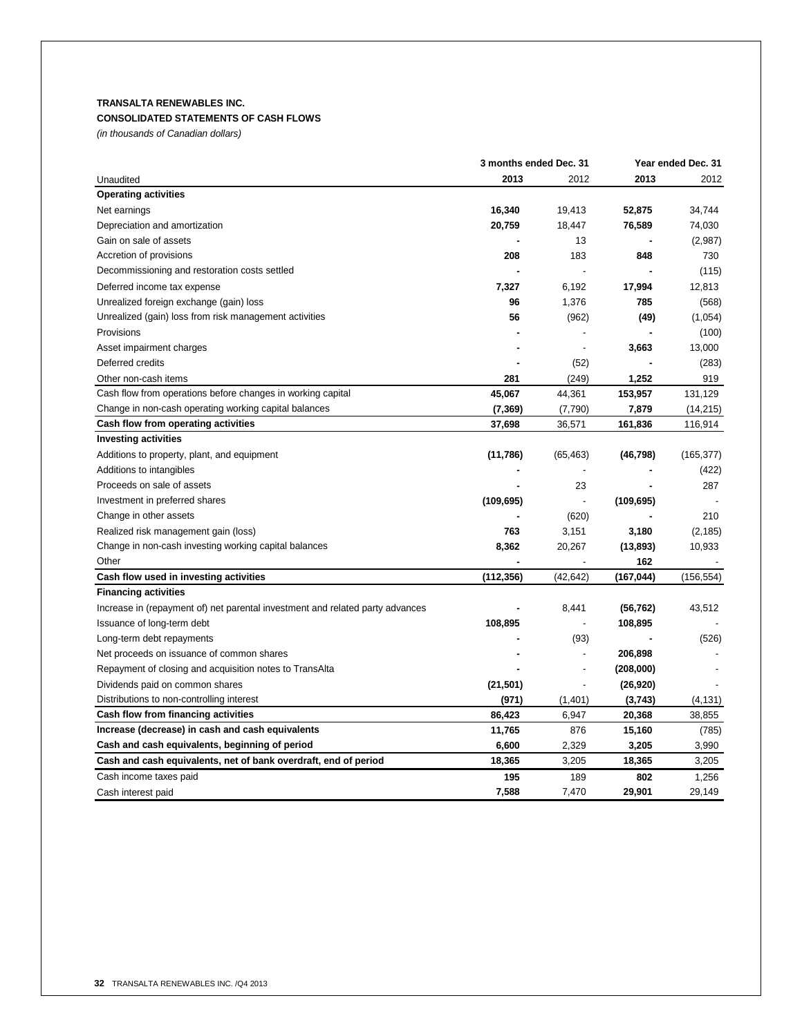# **TRANSALTA RENEWABLES INC. CONSOLIDATED STATEMENTS OF CASH FLOWS**

*(in thousands of Canadian dollars)*

| Unaudited                                                                     | 3 months ended Dec. 31 |           | Year ended Dec. 31 |            |
|-------------------------------------------------------------------------------|------------------------|-----------|--------------------|------------|
|                                                                               | 2013                   | 2012      | 2013               | 2012       |
| <b>Operating activities</b>                                                   |                        |           |                    |            |
| Net earnings                                                                  | 16,340                 | 19,413    | 52,875             | 34.744     |
| Depreciation and amortization                                                 | 20,759                 | 18,447    | 76,589             | 74,030     |
| Gain on sale of assets                                                        |                        | 13        |                    | (2,987)    |
| Accretion of provisions                                                       | 208                    | 183       | 848                | 730        |
| Decommissioning and restoration costs settled                                 |                        |           |                    | (115)      |
| Deferred income tax expense                                                   | 7,327                  | 6,192     | 17,994             | 12,813     |
| Unrealized foreign exchange (gain) loss                                       | 96                     | 1,376     | 785                | (568)      |
| Unrealized (gain) loss from risk management activities                        | 56                     | (962)     | (49)               | (1,054)    |
| Provisions                                                                    |                        |           |                    | (100)      |
| Asset impairment charges                                                      |                        |           | 3,663              | 13,000     |
| Deferred credits                                                              |                        | (52)      |                    | (283)      |
| Other non-cash items                                                          | 281                    | (249)     | 1,252              | 919        |
| Cash flow from operations before changes in working capital                   | 45,067                 | 44,361    | 153,957            | 131,129    |
| Change in non-cash operating working capital balances                         | (7, 369)               | (7,790)   | 7,879              | (14,215)   |
| Cash flow from operating activities                                           | 37,698                 | 36,571    | 161,836            | 116,914    |
| <b>Investing activities</b>                                                   |                        |           |                    |            |
| Additions to property, plant, and equipment                                   | (11, 786)              | (65, 463) | (46, 798)          | (165, 377) |
| Additions to intangibles                                                      |                        |           |                    | (422)      |
| Proceeds on sale of assets                                                    |                        | 23        |                    | 287        |
| Investment in preferred shares                                                | (109, 695)             |           | (109, 695)         |            |
| Change in other assets                                                        |                        | (620)     |                    | 210        |
| Realized risk management gain (loss)                                          | 763                    | 3,151     | 3,180              | (2, 185)   |
| Change in non-cash investing working capital balances                         | 8,362                  | 20,267    | (13, 893)          | 10,933     |
| Other                                                                         |                        |           | 162                |            |
| Cash flow used in investing activities                                        | (112, 356)             | (42, 642) | (167, 044)         | (156, 554) |
| <b>Financing activities</b>                                                   |                        |           |                    |            |
| Increase in (repayment of) net parental investment and related party advances |                        | 8,441     | (56, 762)          | 43,512     |
| Issuance of long-term debt                                                    | 108,895                |           | 108,895            |            |
| Long-term debt repayments                                                     |                        | (93)      |                    | (526)      |
| Net proceeds on issuance of common shares                                     |                        |           | 206,898            |            |
| Repayment of closing and acquisition notes to TransAlta                       |                        |           | (208,000)          |            |
| Dividends paid on common shares                                               | (21, 501)              |           | (26, 920)          |            |
| Distributions to non-controlling interest                                     | (971)                  | (1,401)   | (3,743)            | (4, 131)   |
| Cash flow from financing activities                                           | 86,423                 | 6,947     | 20,368             | 38,855     |
| Increase (decrease) in cash and cash equivalents                              | 11,765                 | 876       | 15,160             | (785)      |
| Cash and cash equivalents, beginning of period                                | 6,600                  | 2,329     | 3,205              | 3,990      |
| Cash and cash equivalents, net of bank overdraft, end of period               | 18,365                 | 3,205     | 18,365             | 3,205      |
| Cash income taxes paid                                                        | 195                    | 189       | 802                | 1,256      |
| Cash interest paid                                                            | 7,588                  | 7,470     | 29,901             | 29,149     |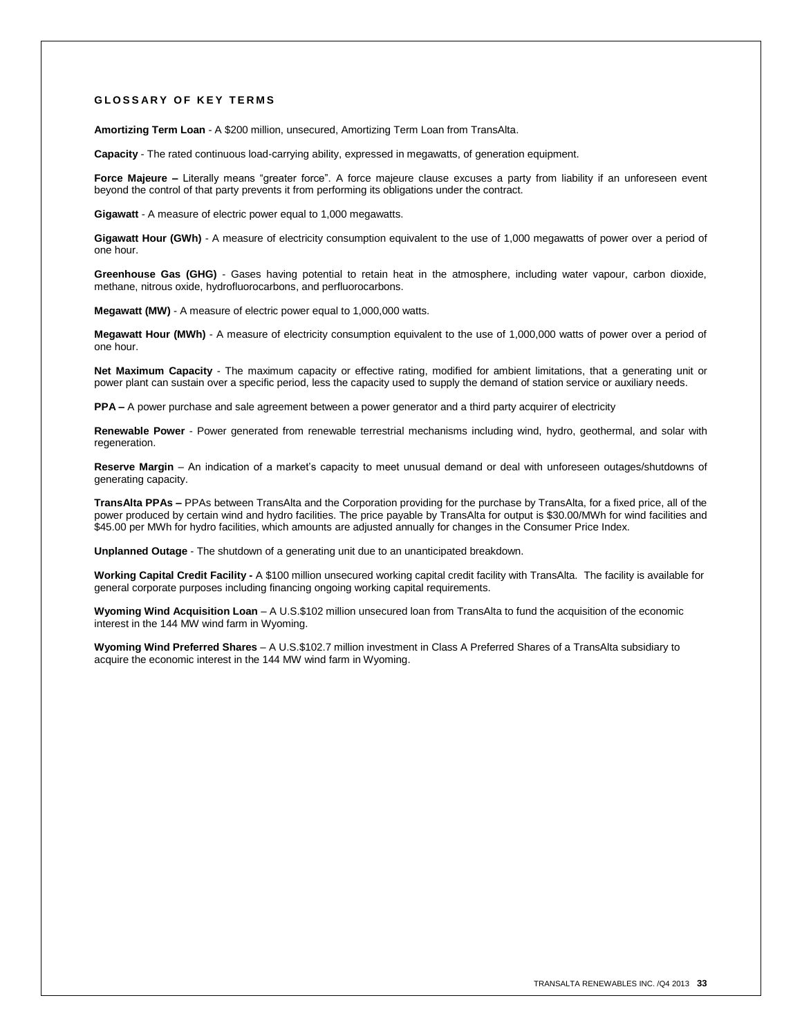#### **G L O S S A R Y O F K E Y T E R M S**

**Amortizing Term Loan** - A \$200 million, unsecured, Amortizing Term Loan from TransAlta.

**Capacity** - The rated continuous load-carrying ability, expressed in megawatts, of generation equipment.

Force Majeure – Literally means "greater force". A force majeure clause excuses a party from liability if an unforeseen event beyond the control of that party prevents it from performing its obligations under the contract.

**Gigawatt** - A measure of electric power equal to 1,000 megawatts.

**Gigawatt Hour (GWh)** - A measure of electricity consumption equivalent to the use of 1,000 megawatts of power over a period of one hour.

**Greenhouse Gas (GHG)** - Gases having potential to retain heat in the atmosphere, including water vapour, carbon dioxide, methane, nitrous oxide, hydrofluorocarbons, and perfluorocarbons.

**Megawatt (MW)** - A measure of electric power equal to 1,000,000 watts.

**Megawatt Hour (MWh)** - A measure of electricity consumption equivalent to the use of 1,000,000 watts of power over a period of one hour.

**Net Maximum Capacity** - The maximum capacity or effective rating, modified for ambient limitations, that a generating unit or power plant can sustain over a specific period, less the capacity used to supply the demand of station service or auxiliary needs.

**PPA –** A power purchase and sale agreement between a power generator and a third party acquirer of electricity

**Renewable Power** - Power generated from renewable terrestrial mechanisms including wind, hydro, geothermal, and solar with regeneration.

**Reserve Margin** – An indication of a market's capacity to meet unusual demand or deal with unforeseen outages/shutdowns of generating capacity.

**TransAlta PPAs –** PPAs between TransAlta and the Corporation providing for the purchase by TransAlta, for a fixed price, all of the power produced by certain wind and hydro facilities. The price payable by TransAlta for output is \$30.00/MWh for wind facilities and \$45.00 per MWh for hydro facilities, which amounts are adjusted annually for changes in the Consumer Price Index.

**Unplanned Outage** - The shutdown of a generating unit due to an unanticipated breakdown.

**Working Capital Credit Facility -** A \$100 million unsecured working capital credit facility with TransAlta. The facility is available for general corporate purposes including financing ongoing working capital requirements.

**Wyoming Wind Acquisition Loan** – A U.S.\$102 million unsecured loan from TransAlta to fund the acquisition of the economic interest in the 144 MW wind farm in Wyoming.

**Wyoming Wind Preferred Shares** – A U.S.\$102.7 million investment in Class A Preferred Shares of a TransAlta subsidiary to acquire the economic interest in the 144 MW wind farm in Wyoming.